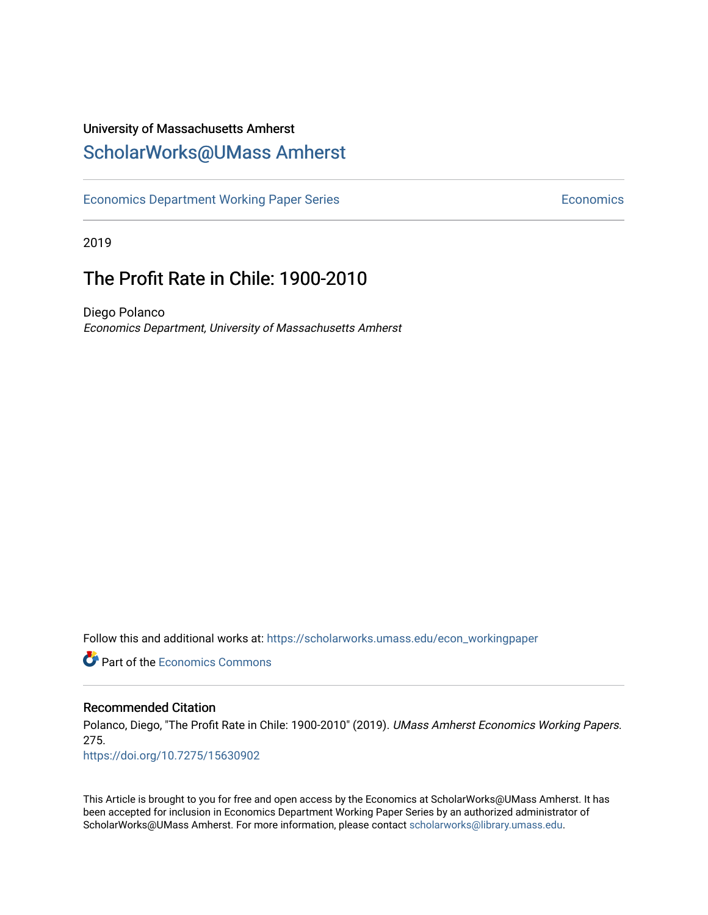## University of Massachusetts Amherst [ScholarWorks@UMass Amherst](https://scholarworks.umass.edu/)

[Economics Department Working Paper Series](https://scholarworks.umass.edu/econ_workingpaper) **Economics** Economics

2019

# The Profit Rate in Chile: 1900-2010

Diego Polanco Economics Department, University of Massachusetts Amherst

Follow this and additional works at: [https://scholarworks.umass.edu/econ\\_workingpaper](https://scholarworks.umass.edu/econ_workingpaper?utm_source=scholarworks.umass.edu%2Fecon_workingpaper%2F275&utm_medium=PDF&utm_campaign=PDFCoverPages) 

**C** Part of the [Economics Commons](http://network.bepress.com/hgg/discipline/340?utm_source=scholarworks.umass.edu%2Fecon_workingpaper%2F275&utm_medium=PDF&utm_campaign=PDFCoverPages)

#### Recommended Citation

Polanco, Diego, "The Profit Rate in Chile: 1900-2010" (2019). UMass Amherst Economics Working Papers. 275.

<https://doi.org/10.7275/15630902>

This Article is brought to you for free and open access by the Economics at ScholarWorks@UMass Amherst. It has been accepted for inclusion in Economics Department Working Paper Series by an authorized administrator of ScholarWorks@UMass Amherst. For more information, please contact [scholarworks@library.umass.edu.](mailto:scholarworks@library.umass.edu)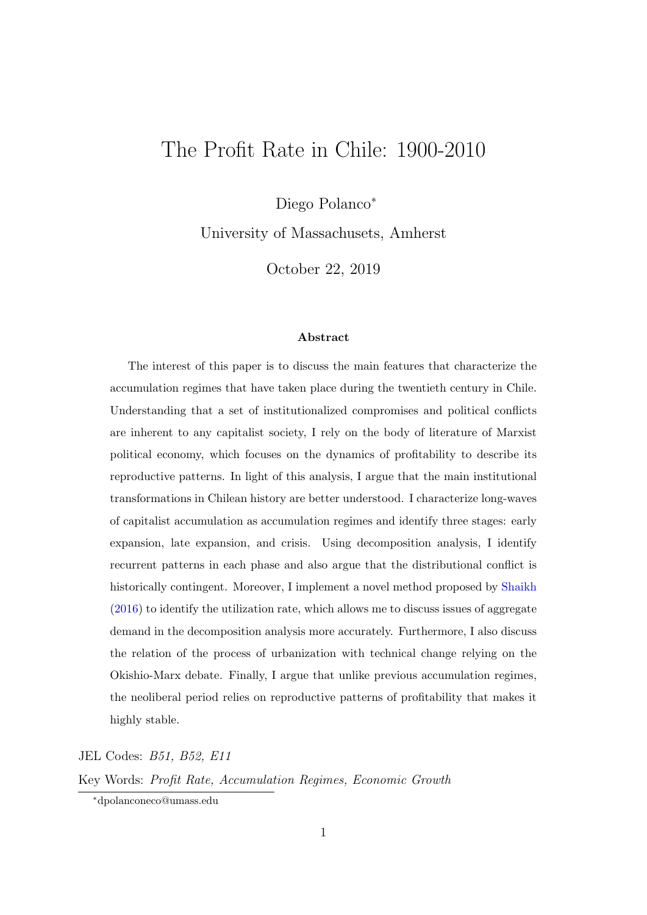# The Profit Rate in Chile: 1900-2010

Diego Polanco<sup>∗</sup>

University of Massachusets, Amherst

October 22, 2019

#### Abstract

The interest of this paper is to discuss the main features that characterize the accumulation regimes that have taken place during the twentieth century in Chile. Understanding that a set of institutionalized compromises and political conflicts are inherent to any capitalist society, I rely on the body of literature of Marxist political economy, which focuses on the dynamics of profitability to describe its reproductive patterns. In light of this analysis, I argue that the main institutional transformations in Chilean history are better understood. I characterize long-waves of capitalist accumulation as accumulation regimes and identify three stages: early expansion, late expansion, and crisis. Using decomposition analysis, I identify recurrent patterns in each phase and also argue that the distributional conflict is historically contingent. Moreover, I implement a novel method proposed by [Shaikh](#page-30-0) [\(2016\)](#page-30-0) to identify the utilization rate, which allows me to discuss issues of aggregate demand in the decomposition analysis more accurately. Furthermore, I also discuss the relation of the process of urbanization with technical change relying on the Okishio-Marx debate. Finally, I argue that unlike previous accumulation regimes, the neoliberal period relies on reproductive patterns of profitability that makes it highly stable.

JEL Codes: B51, B52, E11 Key Words: Profit Rate, Accumulation Regimes, Economic Growth

<sup>∗</sup>dpolanconeco@umass.edu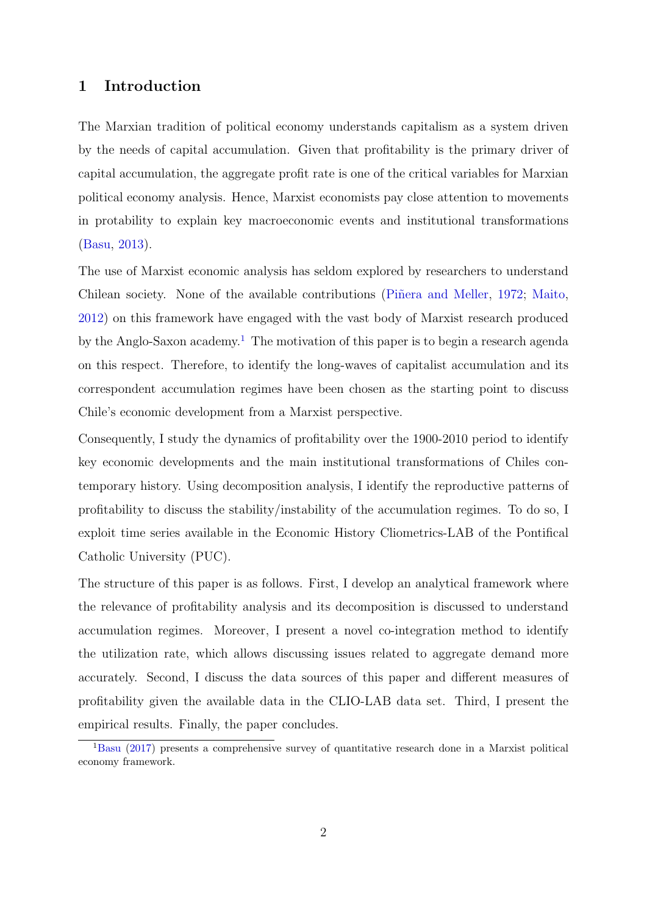#### 1 Introduction

The Marxian tradition of political economy understands capitalism as a system driven by the needs of capital accumulation. Given that profitability is the primary driver of capital accumulation, the aggregate profit rate is one of the critical variables for Marxian political economy analysis. Hence, Marxist economists pay close attention to movements in protability to explain key macroeconomic events and institutional transformations [\(Basu,](#page-29-0) [2013\)](#page-29-0).

The use of Marxist economic analysis has seldom explored by researchers to understand Chilean society. None of the available contributions (Pinera and Meller, [1972;](#page-30-1) [Maito,](#page-30-2) [2012\)](#page-30-2) on this framework have engaged with the vast body of Marxist research produced by the Anglo-Saxon academy.<sup>[1](#page-2-0)</sup> The motivation of this paper is to begin a research agenda on this respect. Therefore, to identify the long-waves of capitalist accumulation and its correspondent accumulation regimes have been chosen as the starting point to discuss Chile's economic development from a Marxist perspective.

Consequently, I study the dynamics of profitability over the 1900-2010 period to identify key economic developments and the main institutional transformations of Chiles contemporary history. Using decomposition analysis, I identify the reproductive patterns of profitability to discuss the stability/instability of the accumulation regimes. To do so, I exploit time series available in the Economic History Cliometrics-LAB of the Pontifical Catholic University (PUC).

The structure of this paper is as follows. First, I develop an analytical framework where the relevance of profitability analysis and its decomposition is discussed to understand accumulation regimes. Moreover, I present a novel co-integration method to identify the utilization rate, which allows discussing issues related to aggregate demand more accurately. Second, I discuss the data sources of this paper and different measures of profitability given the available data in the CLIO-LAB data set. Third, I present the empirical results. Finally, the paper concludes.

<span id="page-2-0"></span><sup>1</sup>[Basu](#page-29-1) [\(2017\)](#page-29-1) presents a comprehensive survey of quantitative research done in a Marxist political economy framework.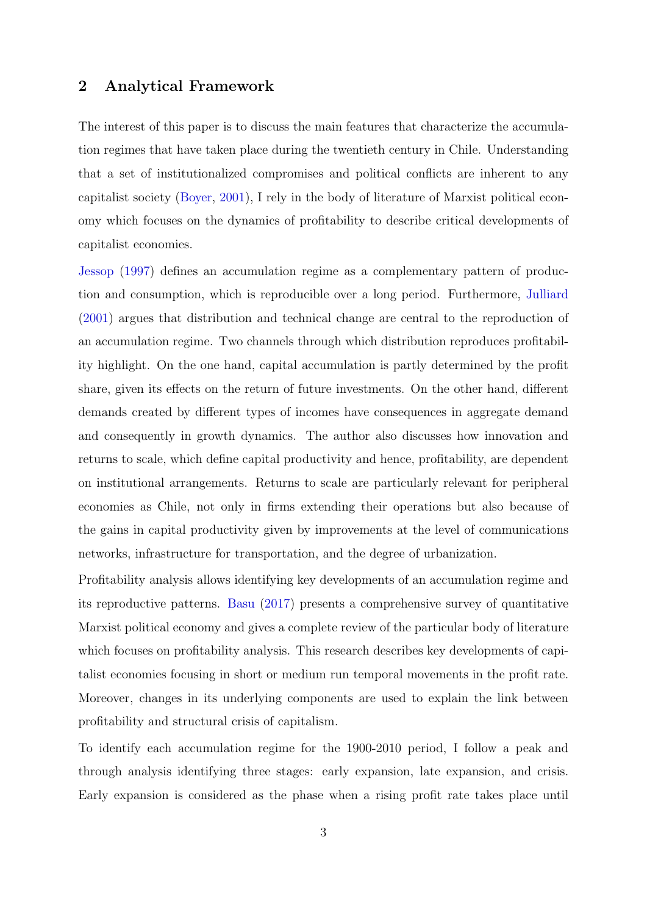#### 2 Analytical Framework

The interest of this paper is to discuss the main features that characterize the accumulation regimes that have taken place during the twentieth century in Chile. Understanding that a set of institutionalized compromises and political conflicts are inherent to any capitalist society [\(Boyer,](#page-29-2) [2001\)](#page-29-2), I rely in the body of literature of Marxist political economy which focuses on the dynamics of profitability to describe critical developments of capitalist economies.

[Jessop](#page-30-3) [\(1997\)](#page-30-3) defines an accumulation regime as a complementary pattern of production and consumption, which is reproducible over a long period. Furthermore, [Julliard](#page-30-4) [\(2001\)](#page-30-4) argues that distribution and technical change are central to the reproduction of an accumulation regime. Two channels through which distribution reproduces profitability highlight. On the one hand, capital accumulation is partly determined by the profit share, given its effects on the return of future investments. On the other hand, different demands created by different types of incomes have consequences in aggregate demand and consequently in growth dynamics. The author also discusses how innovation and returns to scale, which define capital productivity and hence, profitability, are dependent on institutional arrangements. Returns to scale are particularly relevant for peripheral economies as Chile, not only in firms extending their operations but also because of the gains in capital productivity given by improvements at the level of communications networks, infrastructure for transportation, and the degree of urbanization.

Profitability analysis allows identifying key developments of an accumulation regime and its reproductive patterns. [Basu](#page-29-1) [\(2017\)](#page-29-1) presents a comprehensive survey of quantitative Marxist political economy and gives a complete review of the particular body of literature which focuses on profitability analysis. This research describes key developments of capitalist economies focusing in short or medium run temporal movements in the profit rate. Moreover, changes in its underlying components are used to explain the link between profitability and structural crisis of capitalism.

To identify each accumulation regime for the 1900-2010 period, I follow a peak and through analysis identifying three stages: early expansion, late expansion, and crisis. Early expansion is considered as the phase when a rising profit rate takes place until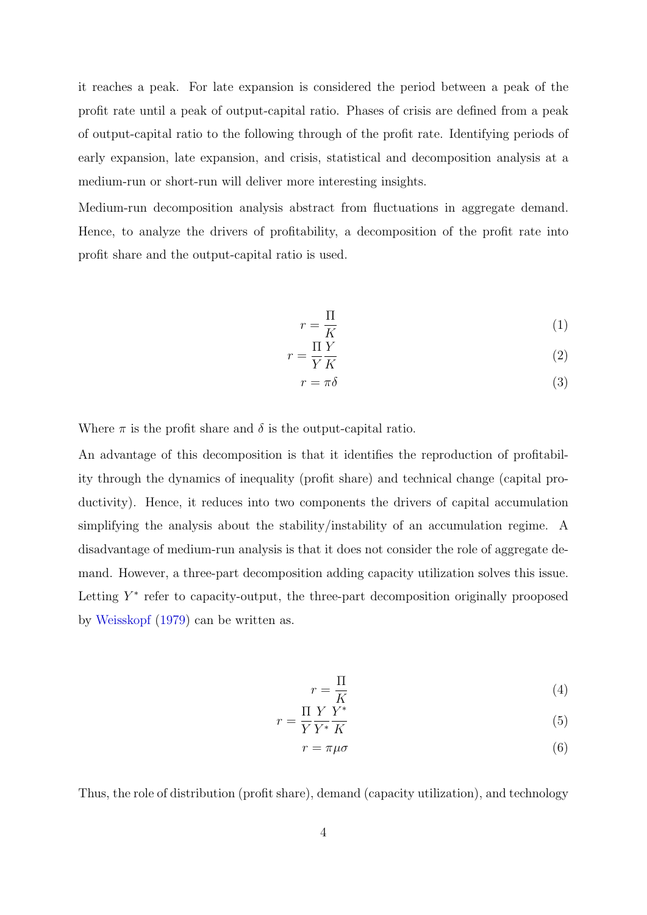it reaches a peak. For late expansion is considered the period between a peak of the profit rate until a peak of output-capital ratio. Phases of crisis are defined from a peak of output-capital ratio to the following through of the profit rate. Identifying periods of early expansion, late expansion, and crisis, statistical and decomposition analysis at a medium-run or short-run will deliver more interesting insights.

Medium-run decomposition analysis abstract from fluctuations in aggregate demand. Hence, to analyze the drivers of profitability, a decomposition of the profit rate into profit share and the output-capital ratio is used.

$$
r = \frac{\Pi}{K} \tag{1}
$$

$$
r = \frac{\Pi}{Y} \frac{Y}{K} \tag{2}
$$

$$
r = \pi \delta \tag{3}
$$

Where  $\pi$  is the profit share and  $\delta$  is the output-capital ratio.

An advantage of this decomposition is that it identifies the reproduction of profitability through the dynamics of inequality (profit share) and technical change (capital productivity). Hence, it reduces into two components the drivers of capital accumulation simplifying the analysis about the stability/instability of an accumulation regime. A disadvantage of medium-run analysis is that it does not consider the role of aggregate demand. However, a three-part decomposition adding capacity utilization solves this issue. Letting  $Y^*$  refer to capacity-output, the three-part decomposition originally prooposed by [Weisskopf](#page-31-0) [\(1979\)](#page-31-0) can be written as.

$$
r = \frac{\Pi}{K} \tag{4}
$$

$$
r = \frac{\Pi}{Y} \frac{Y}{Y^*} \frac{Y^*}{K} \tag{5}
$$

$$
r = \pi \mu \sigma \tag{6}
$$

Thus, the role of distribution (profit share), demand (capacity utilization), and technology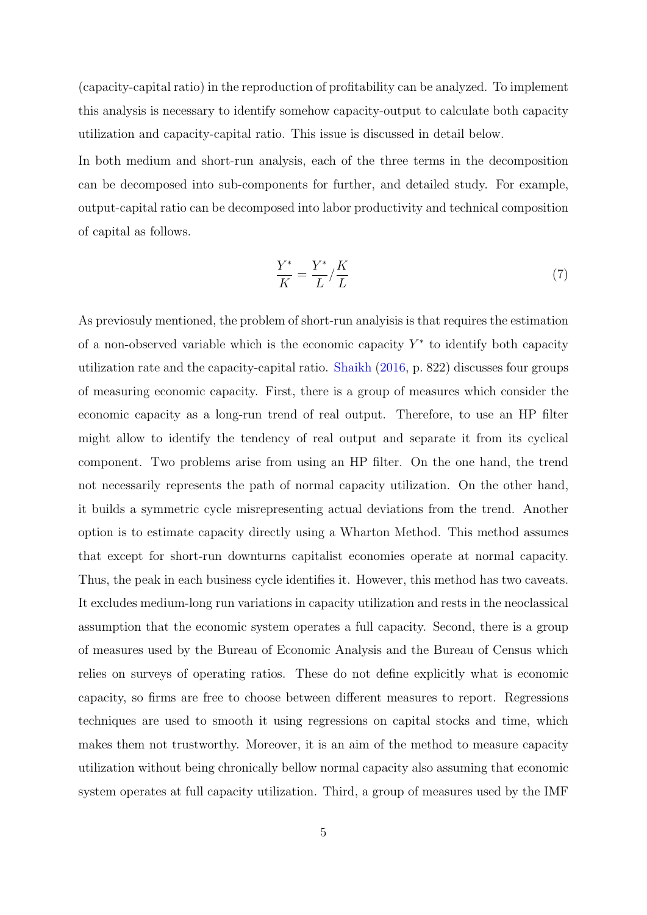(capacity-capital ratio) in the reproduction of profitability can be analyzed. To implement this analysis is necessary to identify somehow capacity-output to calculate both capacity utilization and capacity-capital ratio. This issue is discussed in detail below.

In both medium and short-run analysis, each of the three terms in the decomposition can be decomposed into sub-components for further, and detailed study. For example, output-capital ratio can be decomposed into labor productivity and technical composition of capital as follows.

$$
\frac{Y^*}{K} = \frac{Y^*}{L} / \frac{K}{L} \tag{7}
$$

As previosuly mentioned, the problem of short-run analyisis is that requires the estimation of a non-observed variable which is the economic capacity  $Y^*$  to identify both capacity utilization rate and the capacity-capital ratio. [Shaikh](#page-30-0) [\(2016,](#page-30-0) p. 822) discusses four groups of measuring economic capacity. First, there is a group of measures which consider the economic capacity as a long-run trend of real output. Therefore, to use an HP filter might allow to identify the tendency of real output and separate it from its cyclical component. Two problems arise from using an HP filter. On the one hand, the trend not necessarily represents the path of normal capacity utilization. On the other hand, it builds a symmetric cycle misrepresenting actual deviations from the trend. Another option is to estimate capacity directly using a Wharton Method. This method assumes that except for short-run downturns capitalist economies operate at normal capacity. Thus, the peak in each business cycle identifies it. However, this method has two caveats. It excludes medium-long run variations in capacity utilization and rests in the neoclassical assumption that the economic system operates a full capacity. Second, there is a group of measures used by the Bureau of Economic Analysis and the Bureau of Census which relies on surveys of operating ratios. These do not define explicitly what is economic capacity, so firms are free to choose between different measures to report. Regressions techniques are used to smooth it using regressions on capital stocks and time, which makes them not trustworthy. Moreover, it is an aim of the method to measure capacity utilization without being chronically bellow normal capacity also assuming that economic system operates at full capacity utilization. Third, a group of measures used by the IMF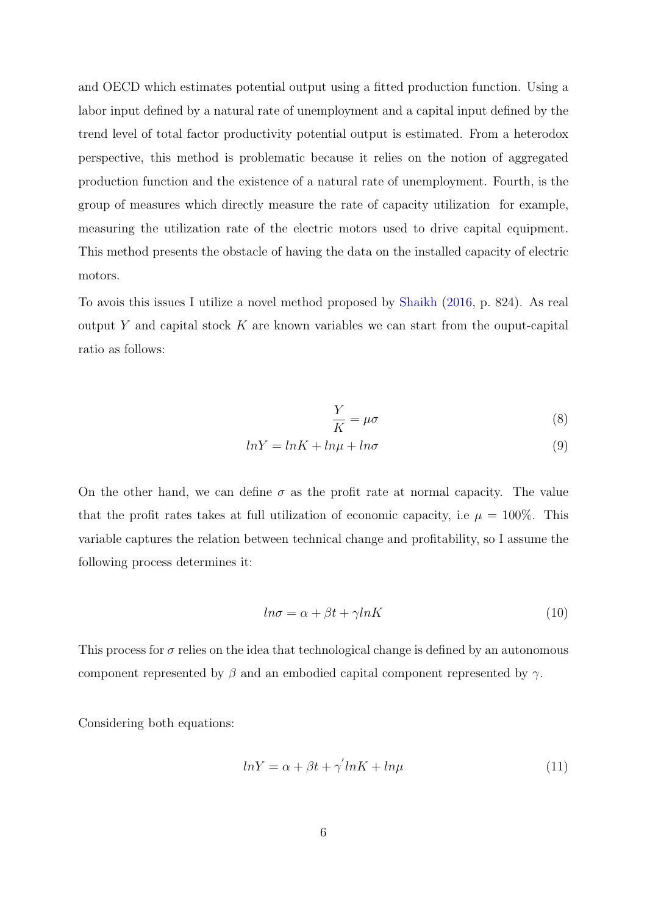and OECD which estimates potential output using a fitted production function. Using a labor input defined by a natural rate of unemployment and a capital input defined by the trend level of total factor productivity potential output is estimated. From a heterodox perspective, this method is problematic because it relies on the notion of aggregated production function and the existence of a natural rate of unemployment. Fourth, is the group of measures which directly measure the rate of capacity utilization for example, measuring the utilization rate of the electric motors used to drive capital equipment. This method presents the obstacle of having the data on the installed capacity of electric motors.

To avois this issues I utilize a novel method proposed by [Shaikh](#page-30-0) [\(2016,](#page-30-0) p. 824). As real output Y and capital stock  $K$  are known variables we can start from the ouput-capital ratio as follows:

$$
\frac{Y}{K} = \mu \sigma \tag{8}
$$

$$
lnY = lnK + ln\mu + ln\sigma
$$
\n(9)

On the other hand, we can define  $\sigma$  as the profit rate at normal capacity. The value that the profit rates takes at full utilization of economic capacity, i.e  $\mu = 100\%$ . This variable captures the relation between technical change and profitability, so I assume the following process determines it:

$$
ln \sigma = \alpha + \beta t + \gamma ln K \tag{10}
$$

This process for  $\sigma$  relies on the idea that technological change is defined by an autonomous component represented by  $\beta$  and an embodied capital component represented by  $\gamma$ .

Considering both equations:

$$
lnY = \alpha + \beta t + \gamma' lnK + ln\mu
$$
\n(11)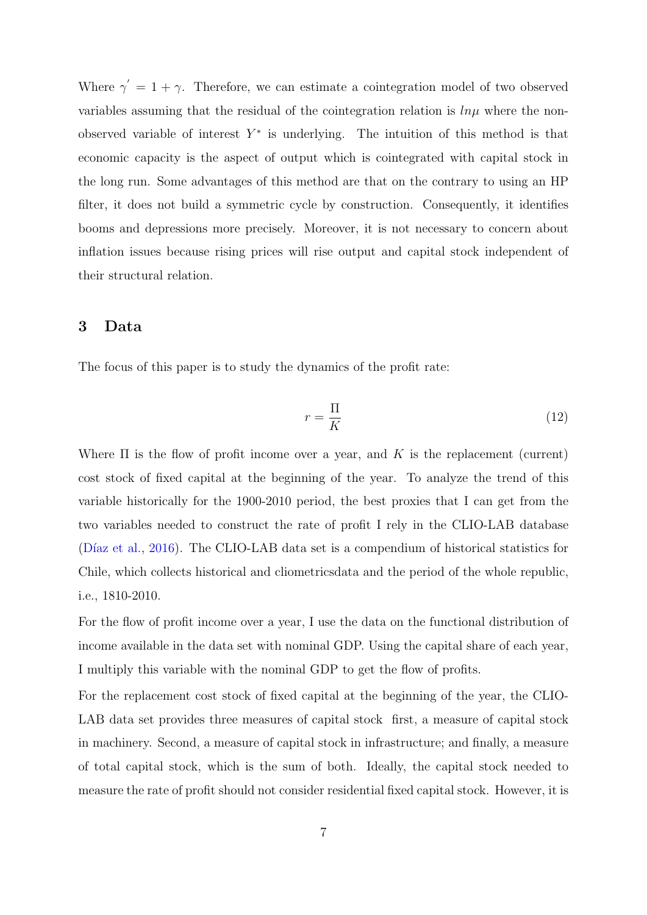Where  $\gamma' = 1 + \gamma$ . Therefore, we can estimate a cointegration model of two observed variables assuming that the residual of the cointegration relation is  $\ln \mu$  where the nonobserved variable of interest  $Y^*$  is underlying. The intuition of this method is that economic capacity is the aspect of output which is cointegrated with capital stock in the long run. Some advantages of this method are that on the contrary to using an HP filter, it does not build a symmetric cycle by construction. Consequently, it identifies booms and depressions more precisely. Moreover, it is not necessary to concern about inflation issues because rising prices will rise output and capital stock independent of their structural relation.

#### 3 Data

The focus of this paper is to study the dynamics of the profit rate:

$$
r = \frac{\Pi}{K} \tag{12}
$$

Where  $\Pi$  is the flow of profit income over a year, and K is the replacement (current) cost stock of fixed capital at the beginning of the year. To analyze the trend of this variable historically for the 1900-2010 period, the best proxies that I can get from the two variables needed to construct the rate of profit I rely in the CLIO-LAB database (Díaz et al., [2016\)](#page-29-3). The CLIO-LAB data set is a compendium of historical statistics for Chile, which collects historical and cliometricsdata and the period of the whole republic, i.e., 1810-2010.

For the flow of profit income over a year, I use the data on the functional distribution of income available in the data set with nominal GDP. Using the capital share of each year, I multiply this variable with the nominal GDP to get the flow of profits.

For the replacement cost stock of fixed capital at the beginning of the year, the CLIO-LAB data set provides three measures of capital stock first, a measure of capital stock in machinery. Second, a measure of capital stock in infrastructure; and finally, a measure of total capital stock, which is the sum of both. Ideally, the capital stock needed to measure the rate of profit should not consider residential fixed capital stock. However, it is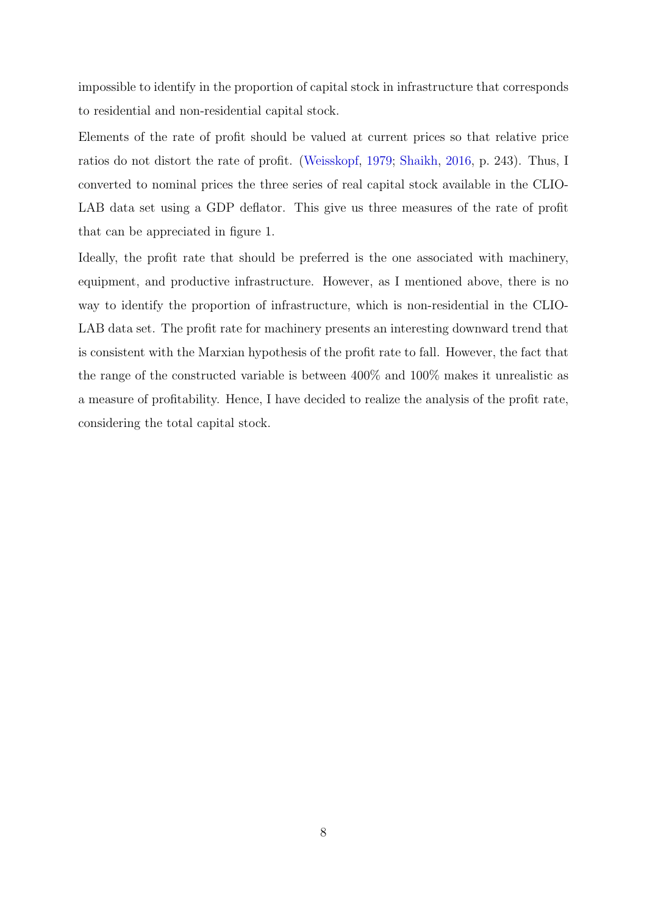impossible to identify in the proportion of capital stock in infrastructure that corresponds to residential and non-residential capital stock.

Elements of the rate of profit should be valued at current prices so that relative price ratios do not distort the rate of profit. [\(Weisskopf,](#page-31-0) [1979;](#page-31-0) [Shaikh,](#page-30-0) [2016,](#page-30-0) p. 243). Thus, I converted to nominal prices the three series of real capital stock available in the CLIO-LAB data set using a GDP deflator. This give us three measures of the rate of profit that can be appreciated in figure 1.

Ideally, the profit rate that should be preferred is the one associated with machinery, equipment, and productive infrastructure. However, as I mentioned above, there is no way to identify the proportion of infrastructure, which is non-residential in the CLIO-LAB data set. The profit rate for machinery presents an interesting downward trend that is consistent with the Marxian hypothesis of the profit rate to fall. However, the fact that the range of the constructed variable is between 400% and 100% makes it unrealistic as a measure of profitability. Hence, I have decided to realize the analysis of the profit rate, considering the total capital stock.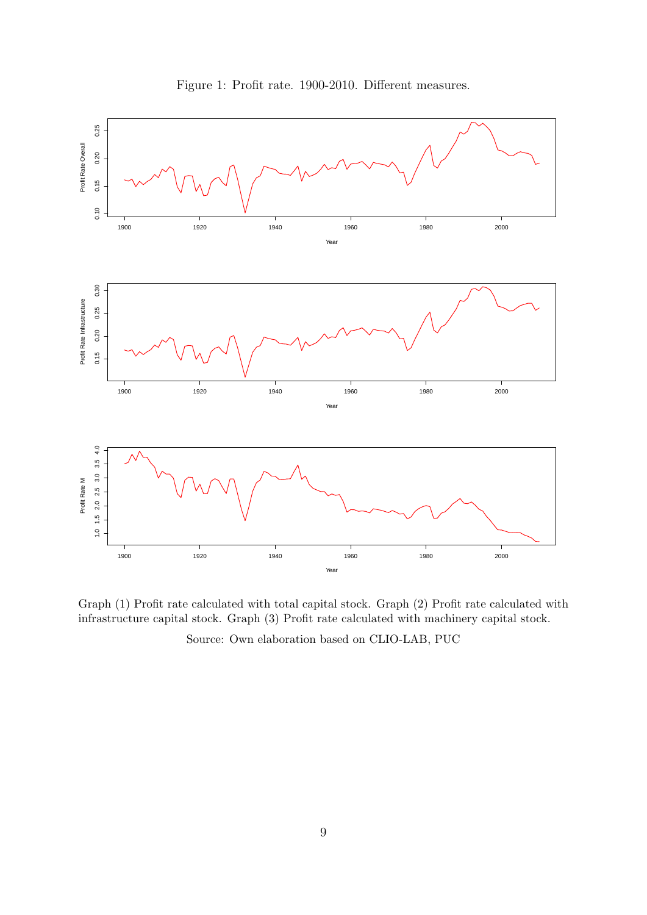



Graph (1) Profit rate calculated with total capital stock. Graph (2) Profit rate calculated with infrastructure capital stock. Graph (3) Profit rate calculated with machinery capital stock.

Source: Own elaboration based on CLIO-LAB, PUC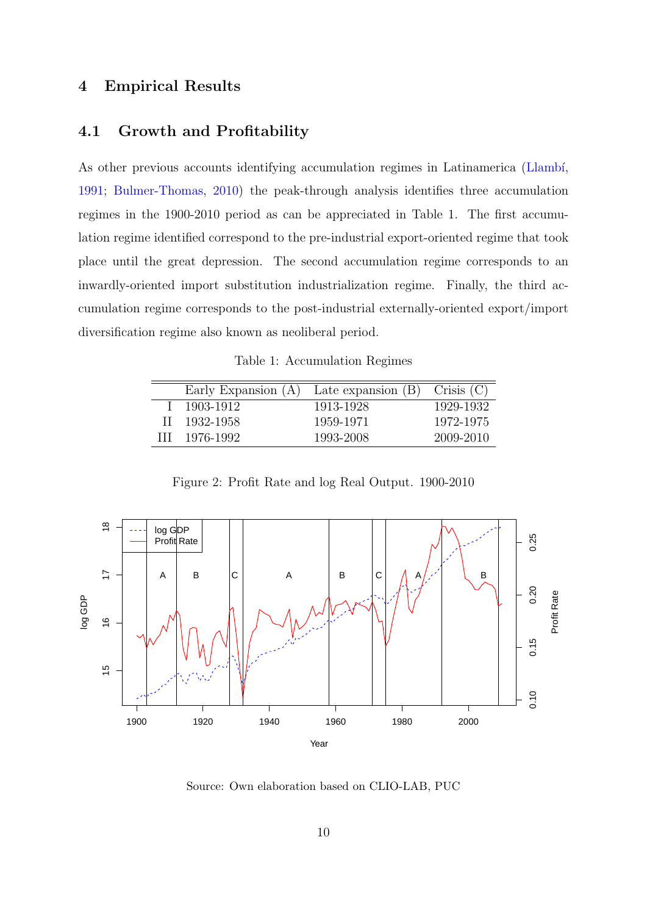### 4 Empirical Results

#### 4.1 Growth and Profitability

As other previous accounts identifying accumulation regimes in Latinamerica (Llambí, [1991;](#page-30-5) [Bulmer-Thomas,](#page-29-4) [2010\)](#page-29-4) the peak-through analysis identifies three accumulation regimes in the 1900-2010 period as can be appreciated in Table 1. The first accumulation regime identified correspond to the pre-industrial export-oriented regime that took place until the great depression. The second accumulation regime corresponds to an inwardly-oriented import substitution industrialization regime. Finally, the third accumulation regime corresponds to the post-industrial externally-oriented export/import diversification regime also known as neoliberal period.

Table 1: Accumulation Regimes

| Early Expansion $(A)$ | Late expansion $(B)$ Crisis $(C)$ |           |
|-----------------------|-----------------------------------|-----------|
| $1\quad 1903 - 1912$  | 1913-1928                         | 1929-1932 |
| II 1932-1958          | 1959-1971                         | 1972-1975 |
| III 1976-1992         | 1993-2008                         | 2009-2010 |

Figure 2: Profit Rate and log Real Output. 1900-2010



Source: Own elaboration based on CLIO-LAB, PUC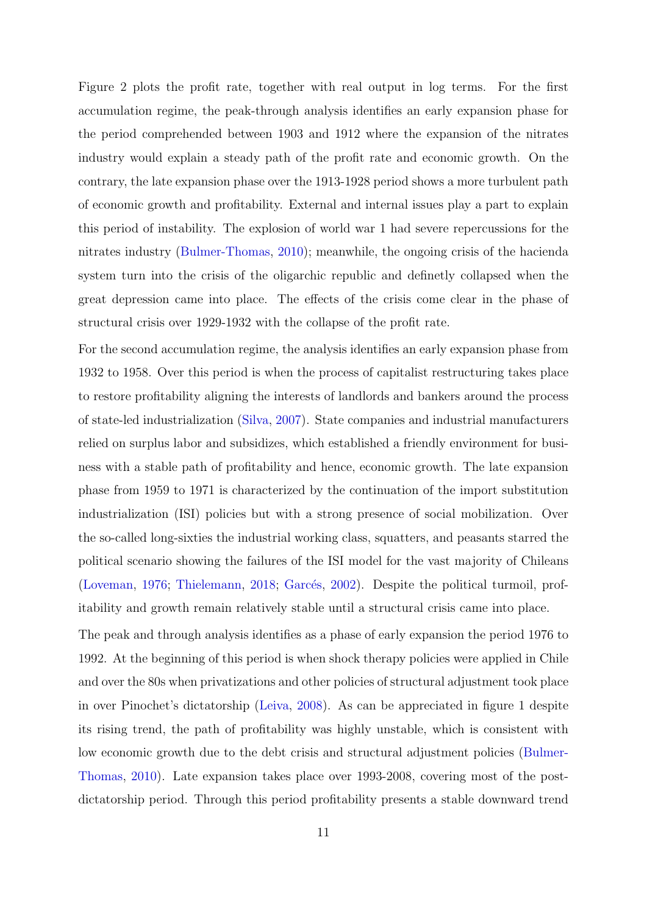Figure 2 plots the profit rate, together with real output in log terms. For the first accumulation regime, the peak-through analysis identifies an early expansion phase for the period comprehended between 1903 and 1912 where the expansion of the nitrates industry would explain a steady path of the profit rate and economic growth. On the contrary, the late expansion phase over the 1913-1928 period shows a more turbulent path of economic growth and profitability. External and internal issues play a part to explain this period of instability. The explosion of world war 1 had severe repercussions for the nitrates industry [\(Bulmer-Thomas,](#page-29-4) [2010\)](#page-29-4); meanwhile, the ongoing crisis of the hacienda system turn into the crisis of the oligarchic republic and definetly collapsed when the great depression came into place. The effects of the crisis come clear in the phase of structural crisis over 1929-1932 with the collapse of the profit rate.

For the second accumulation regime, the analysis identifies an early expansion phase from 1932 to 1958. Over this period is when the process of capitalist restructuring takes place to restore profitability aligning the interests of landlords and bankers around the process of state-led industrialization [\(Silva,](#page-31-1) [2007\)](#page-31-1). State companies and industrial manufacturers relied on surplus labor and subsidizes, which established a friendly environment for business with a stable path of profitability and hence, economic growth. The late expansion phase from 1959 to 1971 is characterized by the continuation of the import substitution industrialization (ISI) policies but with a strong presence of social mobilization. Over the so-called long-sixties the industrial working class, squatters, and peasants starred the political scenario showing the failures of the ISI model for the vast majority of Chileans [\(Loveman,](#page-30-6) [1976;](#page-30-6) [Thielemann,](#page-31-2) [2018;](#page-31-2) Garcés, [2002\)](#page-29-5). Despite the political turmoil, profitability and growth remain relatively stable until a structural crisis came into place.

The peak and through analysis identifies as a phase of early expansion the period 1976 to 1992. At the beginning of this period is when shock therapy policies were applied in Chile and over the 80s when privatizations and other policies of structural adjustment took place in over Pinochet's dictatorship [\(Leiva,](#page-30-7) [2008\)](#page-30-7). As can be appreciated in figure 1 despite its rising trend, the path of profitability was highly unstable, which is consistent with low economic growth due to the debt crisis and structural adjustment policies [\(Bulmer-](#page-29-4)[Thomas,](#page-29-4) [2010\)](#page-29-4). Late expansion takes place over 1993-2008, covering most of the postdictatorship period. Through this period profitability presents a stable downward trend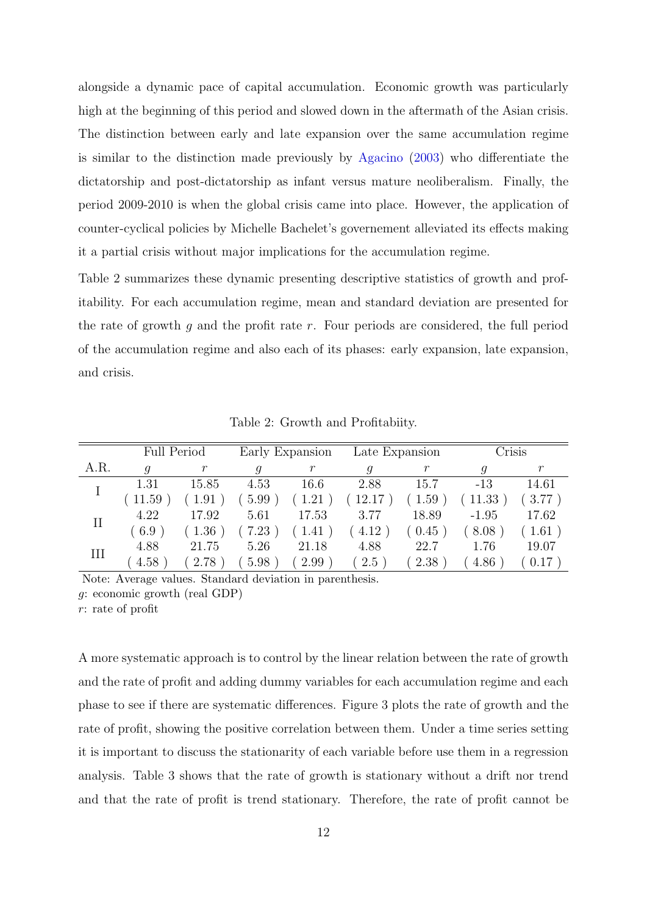alongside a dynamic pace of capital accumulation. Economic growth was particularly high at the beginning of this period and slowed down in the aftermath of the Asian crisis. The distinction between early and late expansion over the same accumulation regime is similar to the distinction made previously by [Agacino](#page-29-6) [\(2003\)](#page-29-6) who differentiate the dictatorship and post-dictatorship as infant versus mature neoliberalism. Finally, the period 2009-2010 is when the global crisis came into place. However, the application of counter-cyclical policies by Michelle Bachelet's governement alleviated its effects making it a partial crisis without major implications for the accumulation regime.

Table 2 summarizes these dynamic presenting descriptive statistics of growth and profitability. For each accumulation regime, mean and standard deviation are presented for the rate of growth  $g$  and the profit rate  $r$ . Four periods are considered, the full period of the accumulation regime and also each of its phases: early expansion, late expansion, and crisis.

|          | <b>Full Period</b> |          |      | Early Expansion | Late Expansion |                      | Crisis  |                     |
|----------|--------------------|----------|------|-----------------|----------------|----------------------|---------|---------------------|
| A.R.     | q                  |          |      |                 | 9              |                      |         |                     |
|          | 1.31               | 15.85    | 4.53 | 16.6            | 2.88           | 15.7                 | $-13$   | 14.61               |
|          | 11.59              | 1.91     | 5.99 | 1.21            | 12.17          | 1.59                 | 11.33   | $\left(3.77\right)$ |
| $\rm II$ | 4.22               | 17.92    | 5.61 | 17.53           | 3.77           | 18.89                | $-1.95$ | 17.62               |
|          | (6.9)              | $1.36\,$ | 7.23 | 1.41            | 4.12           | $\left( 0.45\right)$ | 8.08    | 1.61                |
| III      | 4.88               | 21.75    | 5.26 | 21.18           | 4.88           | 22.7                 | 1.76    | 19.07               |
|          | 4.58               | 2.78     | 5.98 | 2.99            | 2.5            | 2.38                 | 4.86    | 0.17                |

Table 2: Growth and Profitabiity.

Note: Average values. Standard deviation in parenthesis. g: economic growth (real GDP)

r: rate of profit

A more systematic approach is to control by the linear relation between the rate of growth and the rate of profit and adding dummy variables for each accumulation regime and each phase to see if there are systematic differences. Figure 3 plots the rate of growth and the rate of profit, showing the positive correlation between them. Under a time series setting it is important to discuss the stationarity of each variable before use them in a regression analysis. Table 3 shows that the rate of growth is stationary without a drift nor trend and that the rate of profit is trend stationary. Therefore, the rate of profit cannot be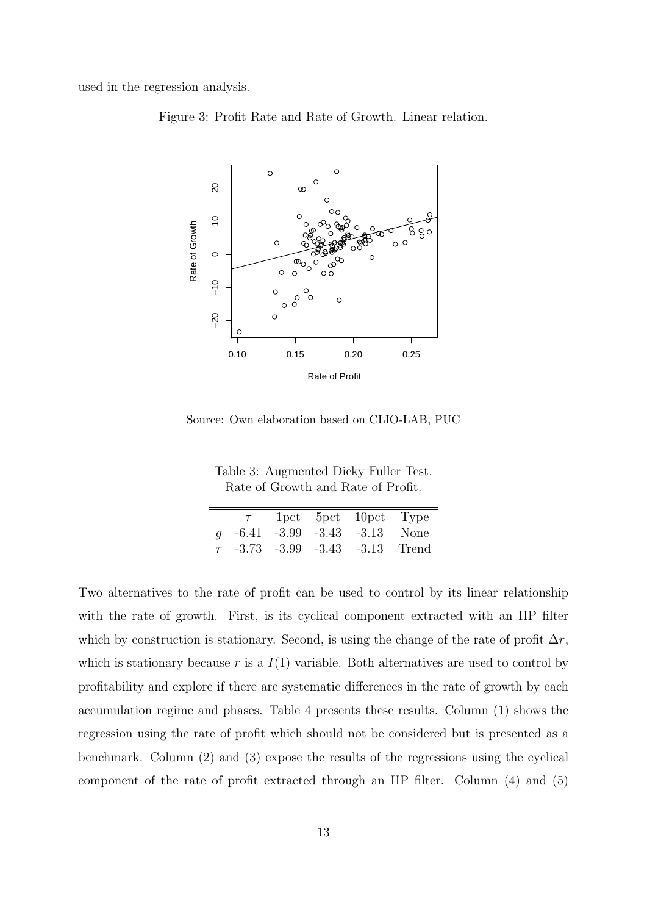used in the regression analysis.





Source: Own elaboration based on CLIO-LAB, PUC

Table 3: Augmented Dicky Fuller Test. Rate of Growth and Rate of Profit.

| 1pct 5pct 10pct Type                   |  |
|----------------------------------------|--|
|                                        |  |
| q $-6.41$ $-3.99$ $-3.43$ $-3.13$ None |  |
| $-3.73$ $-3.99$ $-3.43$ $-3.13$ Trend  |  |

Two alternatives to the rate of profit can be used to control by its linear relationship with the rate of growth. First, is its cyclical component extracted with an HP filter which by construction is stationary. Second, is using the change of the rate of profit  $\Delta r$ , which is stationary because r is a  $I(1)$  variable. Both alternatives are used to control by profitability and explore if there are systematic differences in the rate of growth by each accumulation regime and phases. Table 4 presents these results. Column (1) shows the regression using the rate of profit which should not be considered but is presented as a benchmark. Column (2) and (3) expose the results of the regressions using the cyclical component of the rate of profit extracted through an HP filter. Column (4) and (5)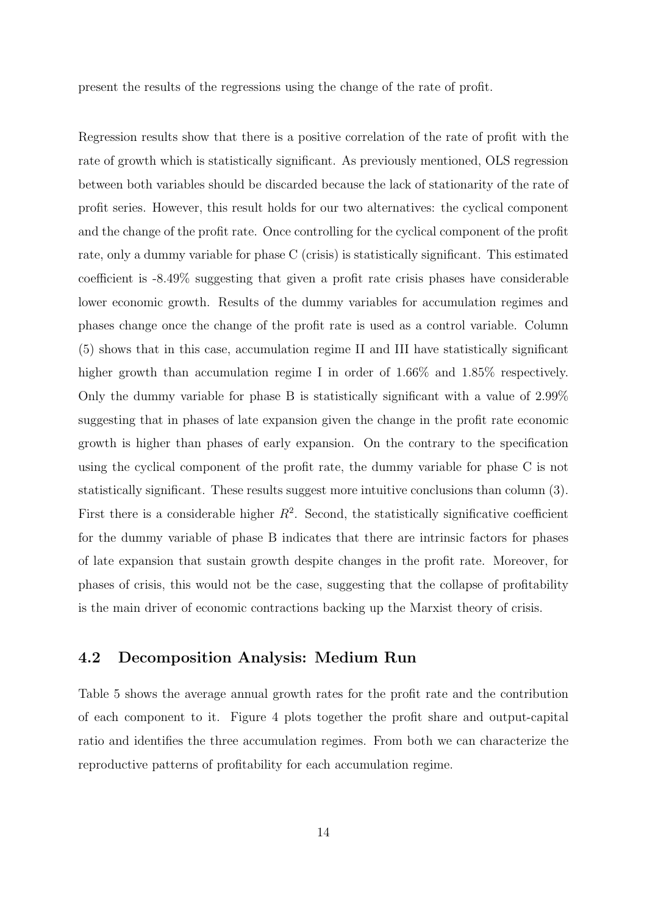present the results of the regressions using the change of the rate of profit.

Regression results show that there is a positive correlation of the rate of profit with the rate of growth which is statistically significant. As previously mentioned, OLS regression between both variables should be discarded because the lack of stationarity of the rate of profit series. However, this result holds for our two alternatives: the cyclical component and the change of the profit rate. Once controlling for the cyclical component of the profit rate, only a dummy variable for phase C (crisis) is statistically significant. This estimated coefficient is -8.49% suggesting that given a profit rate crisis phases have considerable lower economic growth. Results of the dummy variables for accumulation regimes and phases change once the change of the profit rate is used as a control variable. Column (5) shows that in this case, accumulation regime II and III have statistically significant higher growth than accumulation regime I in order of 1.66% and 1.85% respectively. Only the dummy variable for phase B is statistically significant with a value of 2.99% suggesting that in phases of late expansion given the change in the profit rate economic growth is higher than phases of early expansion. On the contrary to the specification using the cyclical component of the profit rate, the dummy variable for phase C is not statistically significant. These results suggest more intuitive conclusions than column (3). First there is a considerable higher  $R^2$ . Second, the statistically significative coefficient for the dummy variable of phase B indicates that there are intrinsic factors for phases of late expansion that sustain growth despite changes in the profit rate. Moreover, for phases of crisis, this would not be the case, suggesting that the collapse of profitability is the main driver of economic contractions backing up the Marxist theory of crisis.

### 4.2 Decomposition Analysis: Medium Run

Table 5 shows the average annual growth rates for the profit rate and the contribution of each component to it. Figure 4 plots together the profit share and output-capital ratio and identifies the three accumulation regimes. From both we can characterize the reproductive patterns of profitability for each accumulation regime.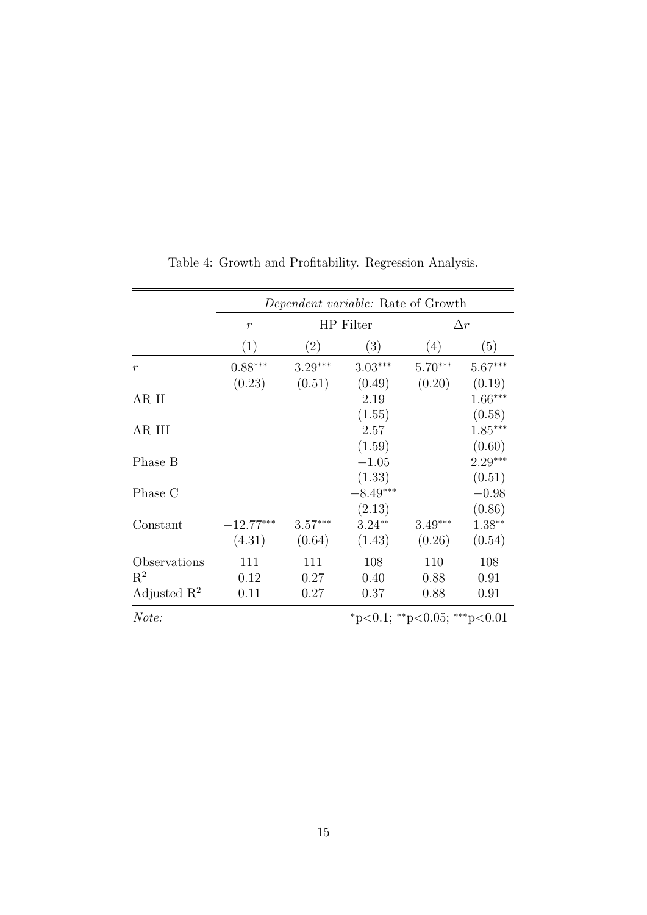|                |                               | <i>Dependent variable:</i> Rate of Growth |            |            |           |  |  |
|----------------|-------------------------------|-------------------------------------------|------------|------------|-----------|--|--|
|                | HP Filter<br>$\boldsymbol{r}$ |                                           |            | $\Delta r$ |           |  |  |
|                | (1)                           | $\left( 2\right)$                         | (3)        | (4)        | (5)       |  |  |
| $\mathcal{r}$  | $0.88***$                     | $3.29***$                                 | $3.03***$  | $5.70***$  | $5.67***$ |  |  |
|                | (0.23)                        | (0.51)                                    | (0.49)     | (0.20)     | (0.19)    |  |  |
| AR II          |                               |                                           | 2.19       |            | $1.66***$ |  |  |
|                |                               |                                           | (1.55)     |            | (0.58)    |  |  |
| AR III         |                               |                                           | 2.57       |            | $1.85***$ |  |  |
|                |                               |                                           | (1.59)     |            | (0.60)    |  |  |
| Phase B        |                               |                                           | $-1.05$    |            | $2.29***$ |  |  |
|                |                               |                                           | (1.33)     |            | (0.51)    |  |  |
| Phase C        |                               |                                           | $-8.49***$ |            | $-0.98$   |  |  |
|                |                               |                                           | (2.13)     |            | (0.86)    |  |  |
| Constant       | $-12.77***$                   | $3.57***$                                 | $3.24**$   | $3.49***$  | $1.38**$  |  |  |
|                | (4.31)                        | (0.64)                                    | (1.43)     | (0.26)     | (0.54)    |  |  |
| Observations   | 111                           | 111                                       | 108        | 110        | 108       |  |  |
| $R^2$          | 0.12                          | 0.27                                      | 0.40       | 0.88       | 0.91      |  |  |
| Adjusted $R^2$ | 0.11                          | 0.27                                      | 0.37       | 0.88       | 0.91      |  |  |

Table 4: Growth and Profitability. Regression Analysis.

 $Note:$   $\text{*}p<0.1; \text{*}p<0.05; \text{*}p<0.01$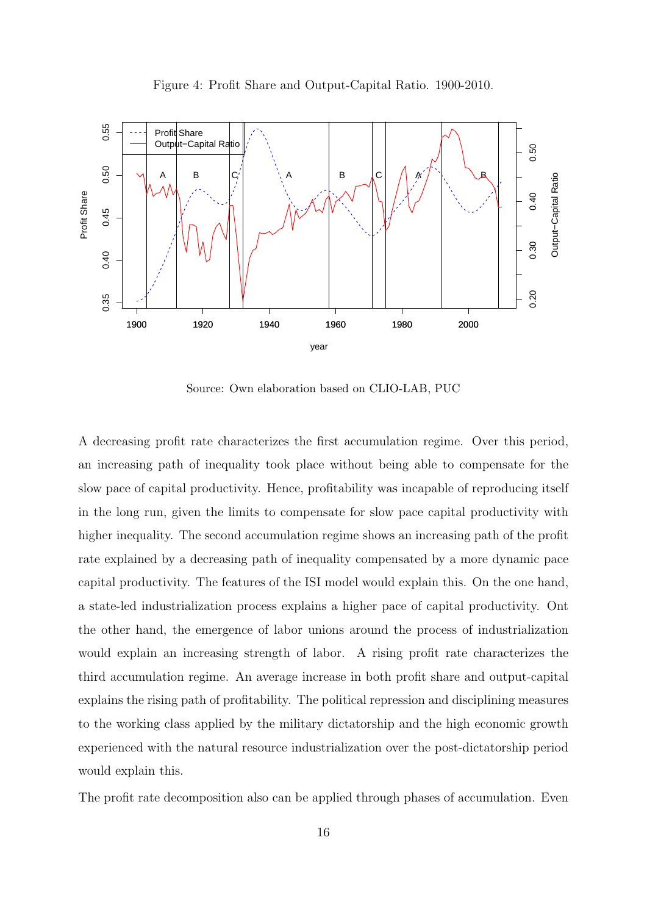

Source: Own elaboration based on CLIO-LAB, PUC

A decreasing profit rate characterizes the first accumulation regime. Over this period, an increasing path of inequality took place without being able to compensate for the slow pace of capital productivity. Hence, profitability was incapable of reproducing itself in the long run, given the limits to compensate for slow pace capital productivity with higher inequality. The second accumulation regime shows an increasing path of the profit rate explained by a decreasing path of inequality compensated by a more dynamic pace capital productivity. The features of the ISI model would explain this. On the one hand, a state-led industrialization process explains a higher pace of capital productivity. Ont the other hand, the emergence of labor unions around the process of industrialization would explain an increasing strength of labor. A rising profit rate characterizes the third accumulation regime. An average increase in both profit share and output-capital explains the rising path of profitability. The political repression and disciplining measures to the working class applied by the military dictatorship and the high economic growth experienced with the natural resource industrialization over the post-dictatorship period would explain this.

The profit rate decomposition also can be applied through phases of accumulation. Even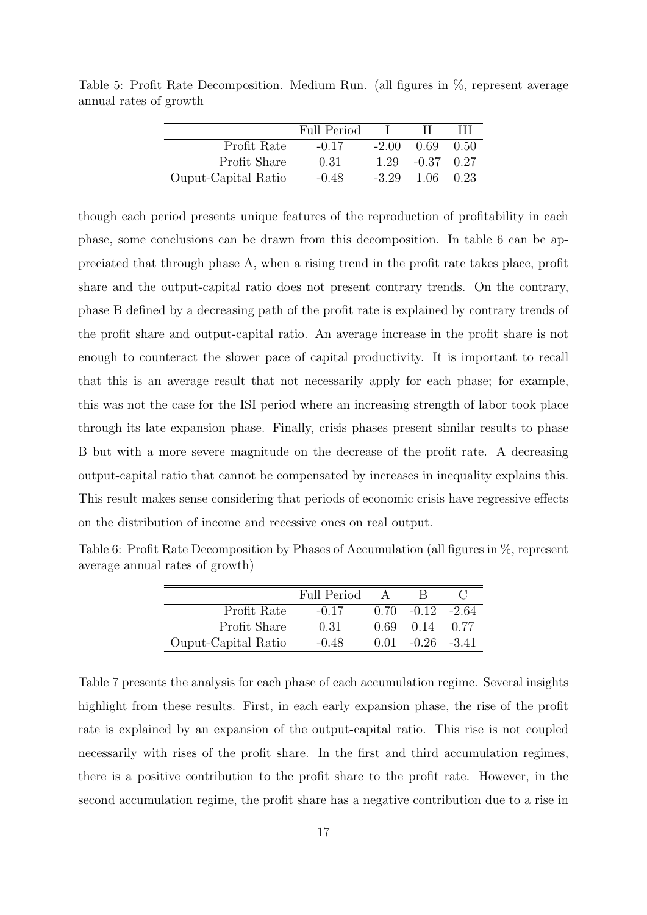|                     | <b>Full Period</b> |         |              |       |
|---------------------|--------------------|---------|--------------|-------|
| Profit Rate         | $-0.17$            | $-2.00$ | 0.69         | -0.50 |
| Profit Share        | 0.31               | 1.29    | $-0.37$ 0.27 |       |
| Ouput-Capital Ratio | $-0.48$            | $-3.29$ | 1.06         | 0.23  |

Table 5: Profit Rate Decomposition. Medium Run. (all figures in %, represent average annual rates of growth

though each period presents unique features of the reproduction of profitability in each phase, some conclusions can be drawn from this decomposition. In table 6 can be appreciated that through phase A, when a rising trend in the profit rate takes place, profit share and the output-capital ratio does not present contrary trends. On the contrary, phase B defined by a decreasing path of the profit rate is explained by contrary trends of the profit share and output-capital ratio. An average increase in the profit share is not enough to counteract the slower pace of capital productivity. It is important to recall that this is an average result that not necessarily apply for each phase; for example, this was not the case for the ISI period where an increasing strength of labor took place through its late expansion phase. Finally, crisis phases present similar results to phase B but with a more severe magnitude on the decrease of the profit rate. A decreasing output-capital ratio that cannot be compensated by increases in inequality explains this. This result makes sense considering that periods of economic crisis have regressive effects on the distribution of income and recessive ones on real output.

Table 6: Profit Rate Decomposition by Phases of Accumulation (all figures in %, represent average annual rates of growth)

|                     | Full Period |      |                      |      |
|---------------------|-------------|------|----------------------|------|
| Profit Rate         | $-0.17$     |      | $0.70 - 0.12 - 2.64$ |      |
| Profit Share        | 0.31        | 0.69 | 0.14                 | 0.77 |
| Ouput-Capital Ratio | $-0.48$     |      | $0.01 - 0.26 - 3.41$ |      |

Table 7 presents the analysis for each phase of each accumulation regime. Several insights highlight from these results. First, in each early expansion phase, the rise of the profit rate is explained by an expansion of the output-capital ratio. This rise is not coupled necessarily with rises of the profit share. In the first and third accumulation regimes, there is a positive contribution to the profit share to the profit rate. However, in the second accumulation regime, the profit share has a negative contribution due to a rise in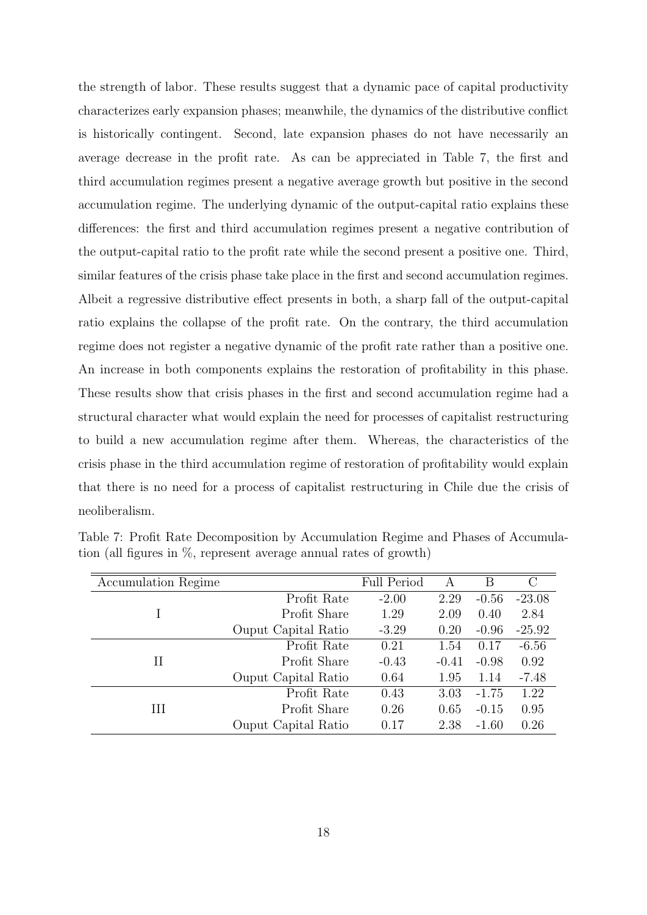the strength of labor. These results suggest that a dynamic pace of capital productivity characterizes early expansion phases; meanwhile, the dynamics of the distributive conflict is historically contingent. Second, late expansion phases do not have necessarily an average decrease in the profit rate. As can be appreciated in Table 7, the first and third accumulation regimes present a negative average growth but positive in the second accumulation regime. The underlying dynamic of the output-capital ratio explains these differences: the first and third accumulation regimes present a negative contribution of the output-capital ratio to the profit rate while the second present a positive one. Third, similar features of the crisis phase take place in the first and second accumulation regimes. Albeit a regressive distributive effect presents in both, a sharp fall of the output-capital ratio explains the collapse of the profit rate. On the contrary, the third accumulation regime does not register a negative dynamic of the profit rate rather than a positive one. An increase in both components explains the restoration of profitability in this phase. These results show that crisis phases in the first and second accumulation regime had a structural character what would explain the need for processes of capitalist restructuring to build a new accumulation regime after them. Whereas, the characteristics of the crisis phase in the third accumulation regime of restoration of profitability would explain that there is no need for a process of capitalist restructuring in Chile due the crisis of neoliberalism.

| Accumulation Regime |                            | <b>Full Period</b> | A       | В       | C        |
|---------------------|----------------------------|--------------------|---------|---------|----------|
|                     | Profit Rate                | $-2.00$            | 2.29    | $-0.56$ | $-23.08$ |
|                     | Profit Share               | 1.29               | 2.09    | 0.40    | 2.84     |
|                     | Ouput Capital Ratio        | $-3.29$            | 0.20    | $-0.96$ | $-25.92$ |
|                     | Profit Rate                | 0.21               | 1.54    | 0.17    | $-6.56$  |
| П                   | Profit Share               | $-0.43$            | $-0.41$ | $-0.98$ | 0.92     |
|                     | Ouput Capital Ratio        | 0.64               | 1.95    | 1.14    | $-7.48$  |
|                     | Profit Rate                | 0.43               | 3.03    | $-1.75$ | 1.22     |
| Ш                   | Profit Share               | 0.26               | 0.65    | $-0.15$ | 0.95     |
|                     | <b>Ouput</b> Capital Ratio | 0.17               | 2.38    | $-1.60$ | 0.26     |

Table 7: Profit Rate Decomposition by Accumulation Regime and Phases of Accumulation (all figures in %, represent average annual rates of growth)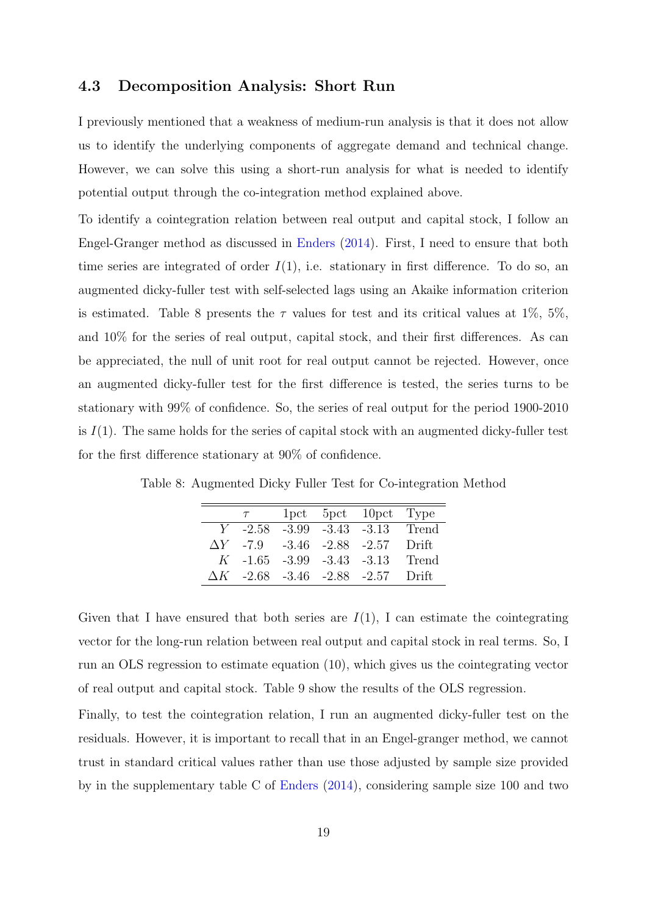#### 4.3 Decomposition Analysis: Short Run

I previously mentioned that a weakness of medium-run analysis is that it does not allow us to identify the underlying components of aggregate demand and technical change. However, we can solve this using a short-run analysis for what is needed to identify potential output through the co-integration method explained above.

To identify a cointegration relation between real output and capital stock, I follow an Engel-Granger method as discussed in [Enders](#page-29-7) [\(2014\)](#page-29-7). First, I need to ensure that both time series are integrated of order  $I(1)$ , i.e. stationary in first difference. To do so, an augmented dicky-fuller test with self-selected lags using an Akaike information criterion is estimated. Table 8 presents the  $\tau$  values for test and its critical values at 1%, 5%, and 10% for the series of real output, capital stock, and their first differences. As can be appreciated, the null of unit root for real output cannot be rejected. However, once an augmented dicky-fuller test for the first difference is tested, the series turns to be stationary with 99% of confidence. So, the series of real output for the period 1900-2010 is  $I(1)$ . The same holds for the series of capital stock with an augmented dicky-fuller test for the first difference stationary at 90% of confidence.

|                                   |  | 1pct 5pct 10pct Type                     |         |
|-----------------------------------|--|------------------------------------------|---------|
|                                   |  | $Y$ -2.58 -3.99 -3.43 -3.13 Trend        |         |
| $\Delta Y$ -7.9 -3.46 -2.88 -2.57 |  |                                          | - Drift |
| $K$ -1.65 -3.99 -3.43 -3.13       |  |                                          | Trend   |
|                                   |  | $\Delta K$ -2.68 -3.46 -2.88 -2.57 Drift |         |

Table 8: Augmented Dicky Fuller Test for Co-integration Method

Given that I have ensured that both series are  $I(1)$ , I can estimate the cointegrating vector for the long-run relation between real output and capital stock in real terms. So, I run an OLS regression to estimate equation (10), which gives us the cointegrating vector of real output and capital stock. Table 9 show the results of the OLS regression.

Finally, to test the cointegration relation, I run an augmented dicky-fuller test on the residuals. However, it is important to recall that in an Engel-granger method, we cannot trust in standard critical values rather than use those adjusted by sample size provided by in the supplementary table C of [Enders](#page-29-7) [\(2014\)](#page-29-7), considering sample size 100 and two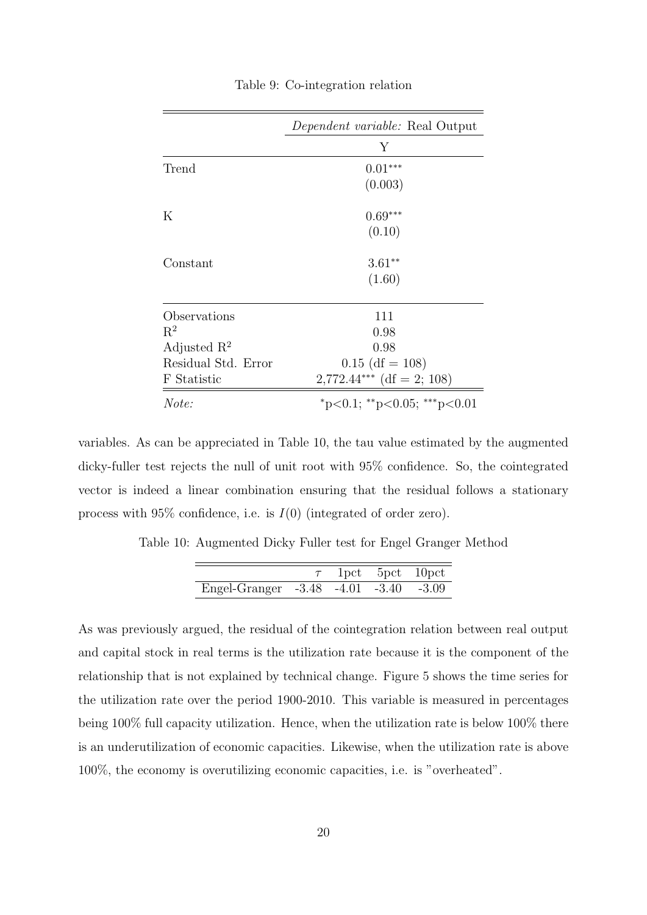|                     | <i>Dependent variable:</i> Real Output |
|---------------------|----------------------------------------|
|                     | Υ                                      |
| Trend               | $0.01***$                              |
|                     | (0.003)                                |
| Κ                   | $0.69***$                              |
|                     | (0.10)                                 |
| Constant            | $3.61**$                               |
|                     | (1.60)                                 |
| Observations        | 111                                    |
| $R^2$               | 0.98                                   |
| Adjusted $R^2$      | 0.98                                   |
| Residual Std. Error | $0.15$ (df = 108)                      |
| F Statistic         | $2,772.44***$ (df = 2; 108)            |
| Note:               | *p<0.1; **p<0.05; ***p<0.01            |

Table 9: Co-integration relation

variables. As can be appreciated in Table 10, the tau value estimated by the augmented dicky-fuller test rejects the null of unit root with 95% confidence. So, the cointegrated vector is indeed a linear combination ensuring that the residual follows a stationary process with  $95\%$  confidence, i.e. is  $I(0)$  (integrated of order zero).

Table 10: Augmented Dicky Fuller test for Engel Granger Method

|                                       |  | $\tau$ 1pct 5pct 10pct |
|---------------------------------------|--|------------------------|
| Engel-Granger -3.48 -4.01 -3.40 -3.09 |  |                        |

As was previously argued, the residual of the cointegration relation between real output and capital stock in real terms is the utilization rate because it is the component of the relationship that is not explained by technical change. Figure 5 shows the time series for the utilization rate over the period 1900-2010. This variable is measured in percentages being 100% full capacity utilization. Hence, when the utilization rate is below 100% there is an underutilization of economic capacities. Likewise, when the utilization rate is above 100%, the economy is overutilizing economic capacities, i.e. is "overheated".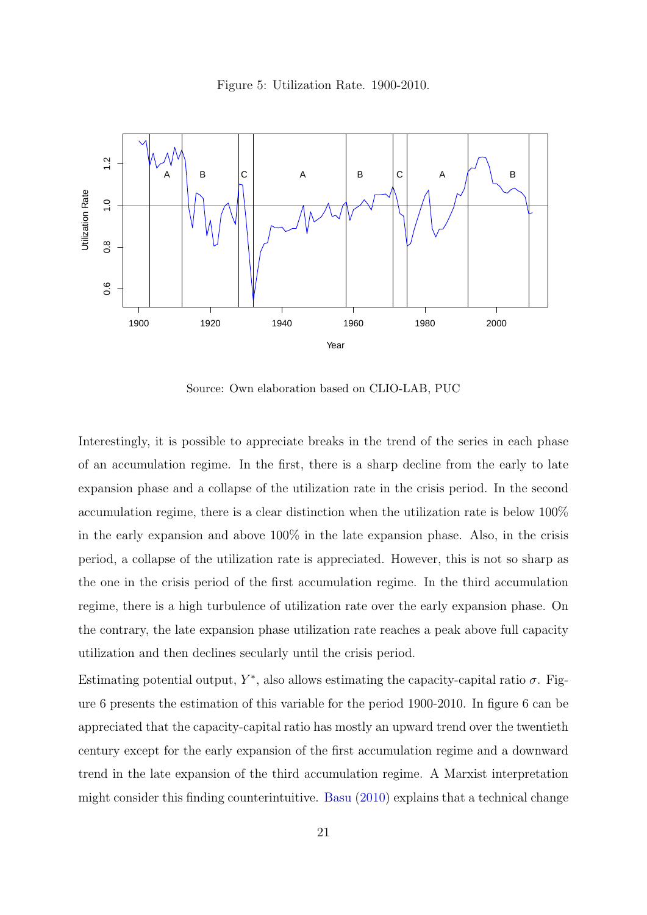



Source: Own elaboration based on CLIO-LAB, PUC

Interestingly, it is possible to appreciate breaks in the trend of the series in each phase of an accumulation regime. In the first, there is a sharp decline from the early to late expansion phase and a collapse of the utilization rate in the crisis period. In the second accumulation regime, there is a clear distinction when the utilization rate is below 100% in the early expansion and above 100% in the late expansion phase. Also, in the crisis period, a collapse of the utilization rate is appreciated. However, this is not so sharp as the one in the crisis period of the first accumulation regime. In the third accumulation regime, there is a high turbulence of utilization rate over the early expansion phase. On the contrary, the late expansion phase utilization rate reaches a peak above full capacity utilization and then declines secularly until the crisis period.

Estimating potential output,  $Y^*$ , also allows estimating the capacity-capital ratio  $\sigma$ . Figure 6 presents the estimation of this variable for the period 1900-2010. In figure 6 can be appreciated that the capacity-capital ratio has mostly an upward trend over the twentieth century except for the early expansion of the first accumulation regime and a downward trend in the late expansion of the third accumulation regime. A Marxist interpretation might consider this finding counterintuitive. [Basu](#page-29-8) [\(2010\)](#page-29-8) explains that a technical change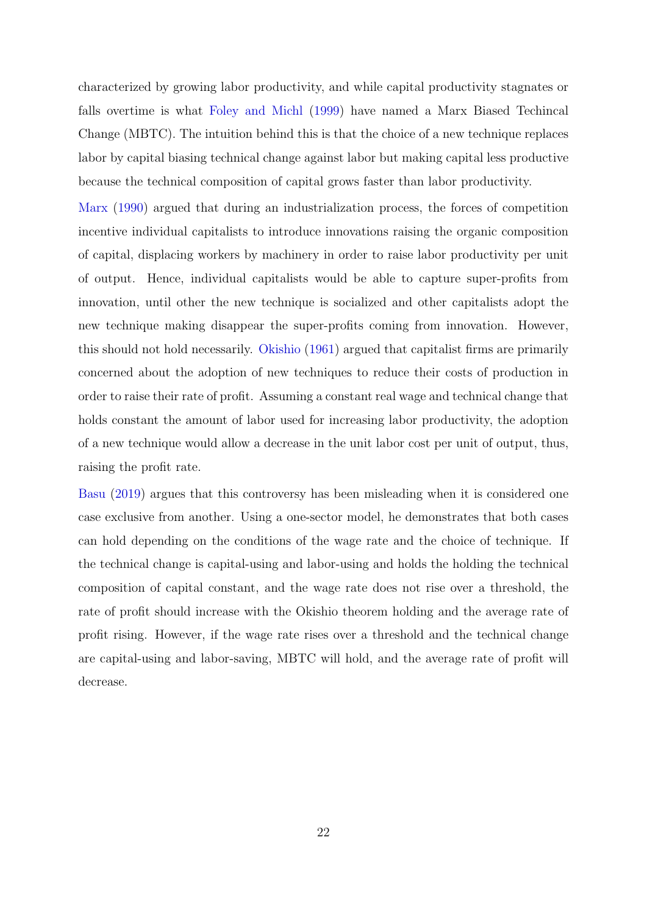characterized by growing labor productivity, and while capital productivity stagnates or falls overtime is what [Foley and Michl](#page-29-9) [\(1999\)](#page-29-9) have named a Marx Biased Techincal Change (MBTC). The intuition behind this is that the choice of a new technique replaces labor by capital biasing technical change against labor but making capital less productive because the technical composition of capital grows faster than labor productivity.

[Marx](#page-30-8) [\(1990\)](#page-30-8) argued that during an industrialization process, the forces of competition incentive individual capitalists to introduce innovations raising the organic composition of capital, displacing workers by machinery in order to raise labor productivity per unit of output. Hence, individual capitalists would be able to capture super-profits from innovation, until other the new technique is socialized and other capitalists adopt the new technique making disappear the super-profits coming from innovation. However, this should not hold necessarily. [Okishio](#page-30-9) [\(1961\)](#page-30-9) argued that capitalist firms are primarily concerned about the adoption of new techniques to reduce their costs of production in order to raise their rate of profit. Assuming a constant real wage and technical change that holds constant the amount of labor used for increasing labor productivity, the adoption of a new technique would allow a decrease in the unit labor cost per unit of output, thus, raising the profit rate.

[Basu](#page-29-10) [\(2019\)](#page-29-10) argues that this controversy has been misleading when it is considered one case exclusive from another. Using a one-sector model, he demonstrates that both cases can hold depending on the conditions of the wage rate and the choice of technique. If the technical change is capital-using and labor-using and holds the holding the technical composition of capital constant, and the wage rate does not rise over a threshold, the rate of profit should increase with the Okishio theorem holding and the average rate of profit rising. However, if the wage rate rises over a threshold and the technical change are capital-using and labor-saving, MBTC will hold, and the average rate of profit will decrease.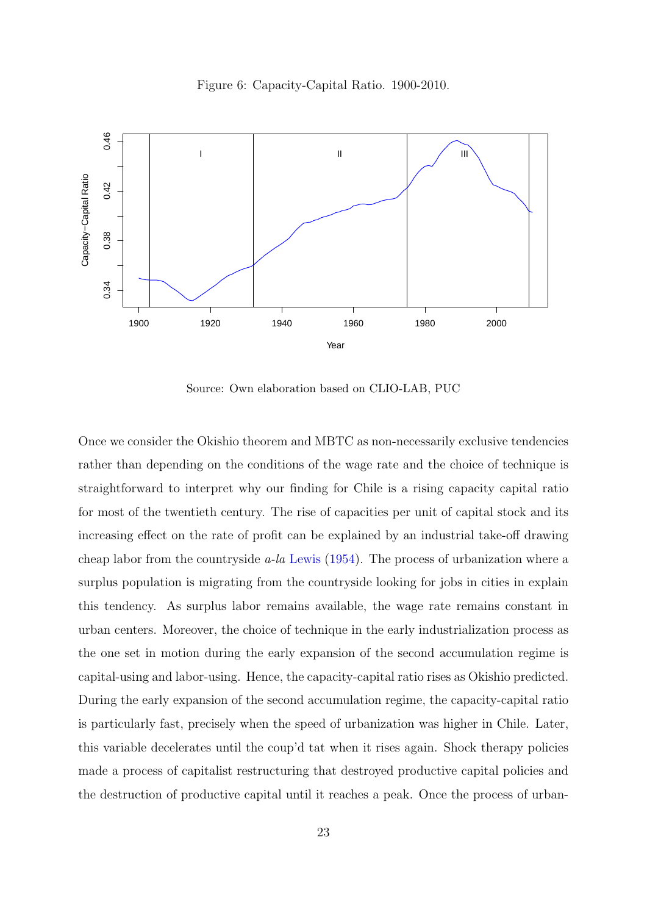



Source: Own elaboration based on CLIO-LAB, PUC

Once we consider the Okishio theorem and MBTC as non-necessarily exclusive tendencies rather than depending on the conditions of the wage rate and the choice of technique is straightforward to interpret why our finding for Chile is a rising capacity capital ratio for most of the twentieth century. The rise of capacities per unit of capital stock and its increasing effect on the rate of profit can be explained by an industrial take-off drawing cheap labor from the countryside a-la [Lewis](#page-30-10) [\(1954\)](#page-30-10). The process of urbanization where a surplus population is migrating from the countryside looking for jobs in cities in explain this tendency. As surplus labor remains available, the wage rate remains constant in urban centers. Moreover, the choice of technique in the early industrialization process as the one set in motion during the early expansion of the second accumulation regime is capital-using and labor-using. Hence, the capacity-capital ratio rises as Okishio predicted. During the early expansion of the second accumulation regime, the capacity-capital ratio is particularly fast, precisely when the speed of urbanization was higher in Chile. Later, this variable decelerates until the coup'd tat when it rises again. Shock therapy policies made a process of capitalist restructuring that destroyed productive capital policies and the destruction of productive capital until it reaches a peak. Once the process of urban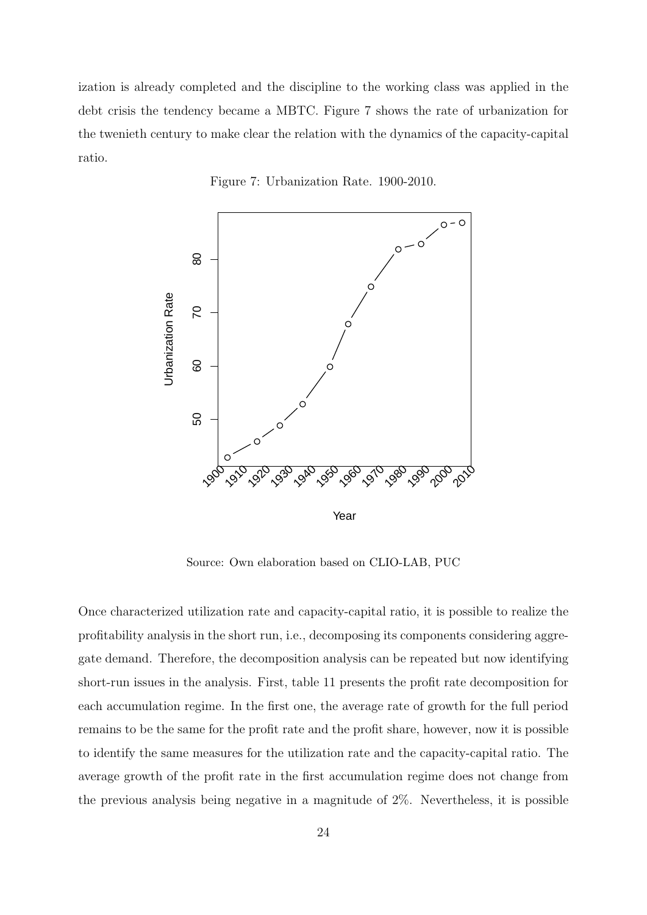ization is already completed and the discipline to the working class was applied in the debt crisis the tendency became a MBTC. Figure 7 shows the rate of urbanization for the twenieth century to make clear the relation with the dynamics of the capacity-capital ratio.





Source: Own elaboration based on CLIO-LAB, PUC

Once characterized utilization rate and capacity-capital ratio, it is possible to realize the profitability analysis in the short run, i.e., decomposing its components considering aggregate demand. Therefore, the decomposition analysis can be repeated but now identifying short-run issues in the analysis. First, table 11 presents the profit rate decomposition for each accumulation regime. In the first one, the average rate of growth for the full period remains to be the same for the profit rate and the profit share, however, now it is possible to identify the same measures for the utilization rate and the capacity-capital ratio. The average growth of the profit rate in the first accumulation regime does not change from the previous analysis being negative in a magnitude of 2%. Nevertheless, it is possible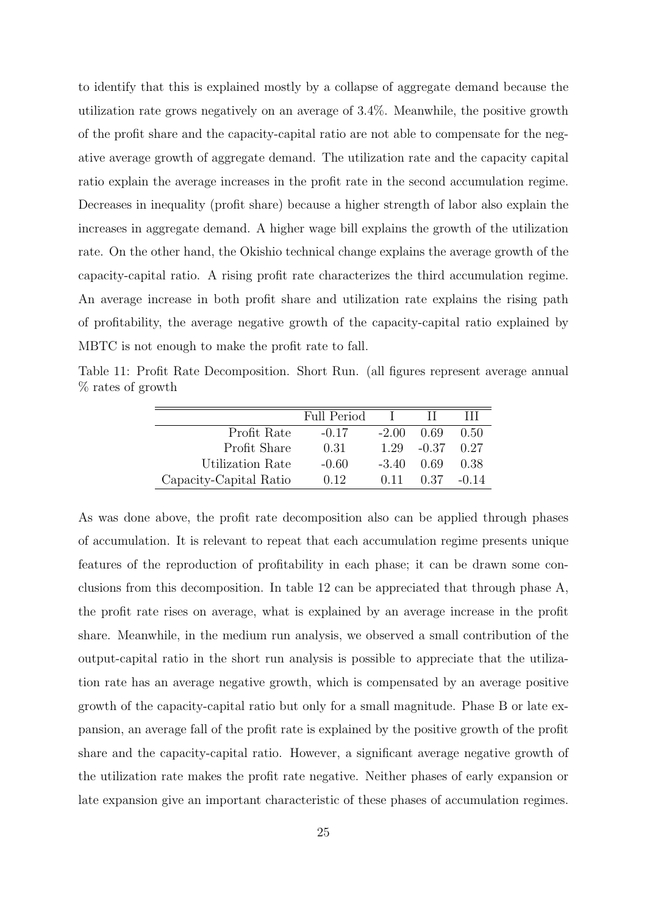to identify that this is explained mostly by a collapse of aggregate demand because the utilization rate grows negatively on an average of 3.4%. Meanwhile, the positive growth of the profit share and the capacity-capital ratio are not able to compensate for the negative average growth of aggregate demand. The utilization rate and the capacity capital ratio explain the average increases in the profit rate in the second accumulation regime. Decreases in inequality (profit share) because a higher strength of labor also explain the increases in aggregate demand. A higher wage bill explains the growth of the utilization rate. On the other hand, the Okishio technical change explains the average growth of the capacity-capital ratio. A rising profit rate characterizes the third accumulation regime. An average increase in both profit share and utilization rate explains the rising path of profitability, the average negative growth of the capacity-capital ratio explained by MBTC is not enough to make the profit rate to fall.

Table 11: Profit Rate Decomposition. Short Run. (all figures represent average annual % rates of growth

|                        | Full Period |         |         |         |
|------------------------|-------------|---------|---------|---------|
| Profit Rate            | $-0.17$     | $-2.00$ | 0.69    | 0.50    |
| Profit Share           | 0.31        | 1.29    | $-0.37$ | 0.27    |
| Utilization Rate       | $-0.60$     | $-3.40$ | 0.69    | 0.38    |
| Capacity-Capital Ratio | 0.12        | 0.11    | 0.37    | $-0.14$ |

As was done above, the profit rate decomposition also can be applied through phases of accumulation. It is relevant to repeat that each accumulation regime presents unique features of the reproduction of profitability in each phase; it can be drawn some conclusions from this decomposition. In table 12 can be appreciated that through phase A, the profit rate rises on average, what is explained by an average increase in the profit share. Meanwhile, in the medium run analysis, we observed a small contribution of the output-capital ratio in the short run analysis is possible to appreciate that the utilization rate has an average negative growth, which is compensated by an average positive growth of the capacity-capital ratio but only for a small magnitude. Phase B or late expansion, an average fall of the profit rate is explained by the positive growth of the profit share and the capacity-capital ratio. However, a significant average negative growth of the utilization rate makes the profit rate negative. Neither phases of early expansion or late expansion give an important characteristic of these phases of accumulation regimes.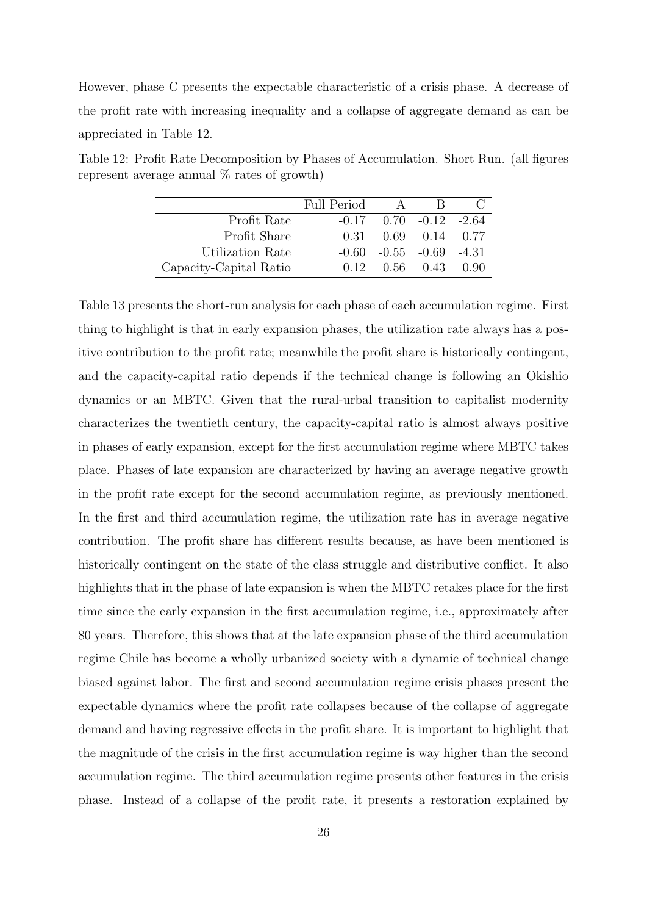However, phase C presents the expectable characteristic of a crisis phase. A decrease of the profit rate with increasing inequality and a collapse of aggregate demand as can be appreciated in Table 12.

|                        | Full Period | $\Delta$                        |                |        |
|------------------------|-------------|---------------------------------|----------------|--------|
| Profit Rate            |             | $-0.17$ $0.70$ $-0.12$ $-2.64$  |                |        |
| Profit Share           | 0.31        |                                 | 0.69 0.14 0.77 |        |
| Utilization Rate       |             | $-0.60$ $-0.55$ $-0.69$ $-4.31$ |                |        |
| Capacity-Capital Ratio | 0.12        |                                 | $0.56$ $0.43$  | (1.90) |

Table 12: Profit Rate Decomposition by Phases of Accumulation. Short Run. (all figures represent average annual  $\%$  rates of growth)

Table 13 presents the short-run analysis for each phase of each accumulation regime. First thing to highlight is that in early expansion phases, the utilization rate always has a positive contribution to the profit rate; meanwhile the profit share is historically contingent, and the capacity-capital ratio depends if the technical change is following an Okishio dynamics or an MBTC. Given that the rural-urbal transition to capitalist modernity characterizes the twentieth century, the capacity-capital ratio is almost always positive in phases of early expansion, except for the first accumulation regime where MBTC takes place. Phases of late expansion are characterized by having an average negative growth in the profit rate except for the second accumulation regime, as previously mentioned. In the first and third accumulation regime, the utilization rate has in average negative contribution. The profit share has different results because, as have been mentioned is historically contingent on the state of the class struggle and distributive conflict. It also highlights that in the phase of late expansion is when the MBTC retakes place for the first time since the early expansion in the first accumulation regime, i.e., approximately after 80 years. Therefore, this shows that at the late expansion phase of the third accumulation regime Chile has become a wholly urbanized society with a dynamic of technical change biased against labor. The first and second accumulation regime crisis phases present the expectable dynamics where the profit rate collapses because of the collapse of aggregate demand and having regressive effects in the profit share. It is important to highlight that the magnitude of the crisis in the first accumulation regime is way higher than the second accumulation regime. The third accumulation regime presents other features in the crisis phase. Instead of a collapse of the profit rate, it presents a restoration explained by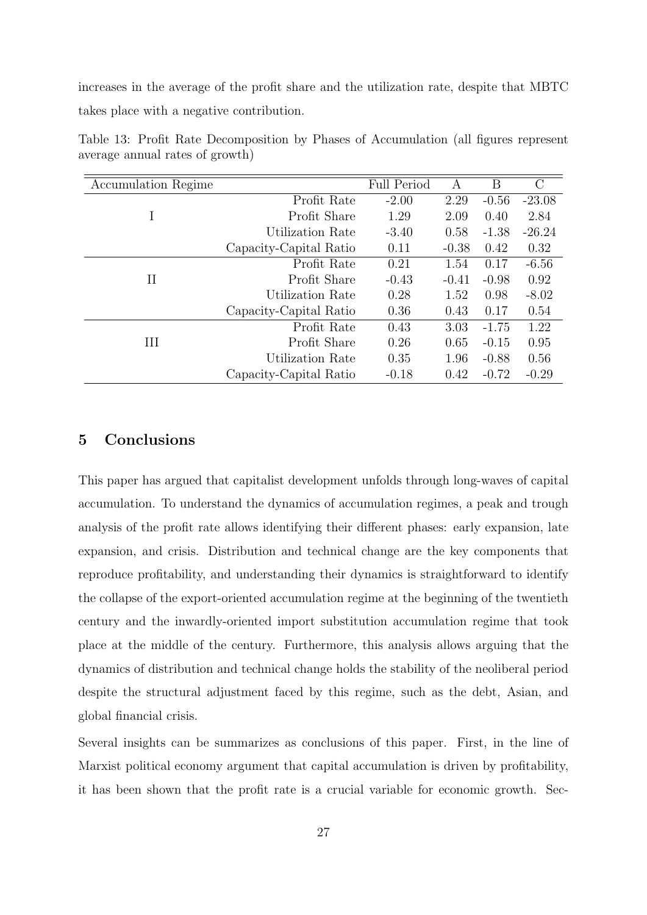increases in the average of the profit share and the utilization rate, despite that MBTC takes place with a negative contribution.

| Accumulation Regime |                        | <b>Full Period</b> | А       | Β       | $\rm C$  |
|---------------------|------------------------|--------------------|---------|---------|----------|
|                     | Profit Rate            | $-2.00$            | 2.29    | $-0.56$ | $-23.08$ |
|                     | Profit Share           | 1.29               | 2.09    | 0.40    | 2.84     |
|                     | Utilization Rate       | $-3.40$            | 0.58    | $-1.38$ | $-26.24$ |
|                     | Capacity-Capital Ratio | 0.11               | $-0.38$ | 0.42    | 0.32     |
| $_{\rm II}$         | Profit Rate            | 0.21               | 1.54    | 0.17    | $-6.56$  |
|                     | Profit Share           | $-0.43$            | $-0.41$ | $-0.98$ | 0.92     |
|                     | Utilization Rate       | 0.28               | 1.52    | 0.98    | $-8.02$  |
|                     | Capacity-Capital Ratio | 0.36               | 0.43    | 0.17    | 0.54     |
| Ш                   | Profit Rate            | 0.43               | 3.03    | $-1.75$ | 1.22     |
|                     | Profit Share           | 0.26               | 0.65    | $-0.15$ | 0.95     |
|                     | Utilization Rate       | 0.35               | 1.96    | $-0.88$ | 0.56     |
|                     | Capacity-Capital Ratio | $-0.18$            | 0.42    | $-0.72$ | $-0.29$  |

Table 13: Profit Rate Decomposition by Phases of Accumulation (all figures represent average annual rates of growth)

### 5 Conclusions

This paper has argued that capitalist development unfolds through long-waves of capital accumulation. To understand the dynamics of accumulation regimes, a peak and trough analysis of the profit rate allows identifying their different phases: early expansion, late expansion, and crisis. Distribution and technical change are the key components that reproduce profitability, and understanding their dynamics is straightforward to identify the collapse of the export-oriented accumulation regime at the beginning of the twentieth century and the inwardly-oriented import substitution accumulation regime that took place at the middle of the century. Furthermore, this analysis allows arguing that the dynamics of distribution and technical change holds the stability of the neoliberal period despite the structural adjustment faced by this regime, such as the debt, Asian, and global financial crisis.

Several insights can be summarizes as conclusions of this paper. First, in the line of Marxist political economy argument that capital accumulation is driven by profitability, it has been shown that the profit rate is a crucial variable for economic growth. Sec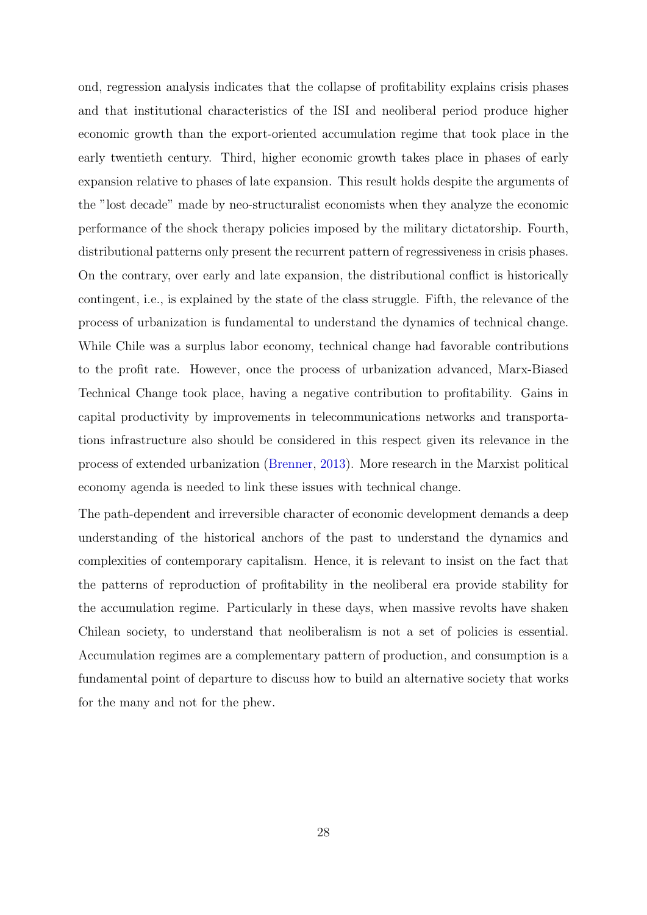ond, regression analysis indicates that the collapse of profitability explains crisis phases and that institutional characteristics of the ISI and neoliberal period produce higher economic growth than the export-oriented accumulation regime that took place in the early twentieth century. Third, higher economic growth takes place in phases of early expansion relative to phases of late expansion. This result holds despite the arguments of the "lost decade" made by neo-structuralist economists when they analyze the economic performance of the shock therapy policies imposed by the military dictatorship. Fourth, distributional patterns only present the recurrent pattern of regressiveness in crisis phases. On the contrary, over early and late expansion, the distributional conflict is historically contingent, i.e., is explained by the state of the class struggle. Fifth, the relevance of the process of urbanization is fundamental to understand the dynamics of technical change. While Chile was a surplus labor economy, technical change had favorable contributions to the profit rate. However, once the process of urbanization advanced, Marx-Biased Technical Change took place, having a negative contribution to profitability. Gains in capital productivity by improvements in telecommunications networks and transportations infrastructure also should be considered in this respect given its relevance in the process of extended urbanization [\(Brenner,](#page-29-11) [2013\)](#page-29-11). More research in the Marxist political economy agenda is needed to link these issues with technical change.

The path-dependent and irreversible character of economic development demands a deep understanding of the historical anchors of the past to understand the dynamics and complexities of contemporary capitalism. Hence, it is relevant to insist on the fact that the patterns of reproduction of profitability in the neoliberal era provide stability for the accumulation regime. Particularly in these days, when massive revolts have shaken Chilean society, to understand that neoliberalism is not a set of policies is essential. Accumulation regimes are a complementary pattern of production, and consumption is a fundamental point of departure to discuss how to build an alternative society that works for the many and not for the phew.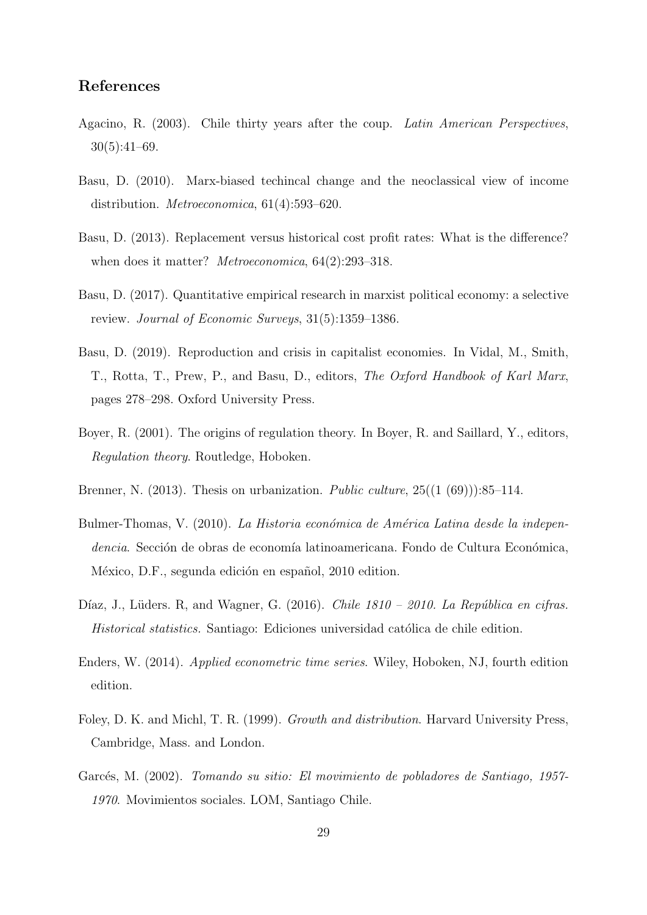### References

- <span id="page-29-6"></span>Agacino, R. (2003). Chile thirty years after the coup. Latin American Perspectives, 30(5):41–69.
- <span id="page-29-8"></span>Basu, D. (2010). Marx-biased techincal change and the neoclassical view of income distribution. Metroeconomica, 61(4):593–620.
- <span id="page-29-0"></span>Basu, D. (2013). Replacement versus historical cost profit rates: What is the difference? when does it matter? *Metroeconomica*, 64(2):293-318.
- <span id="page-29-1"></span>Basu, D. (2017). Quantitative empirical research in marxist political economy: a selective review. Journal of Economic Surveys, 31(5):1359–1386.
- <span id="page-29-10"></span>Basu, D. (2019). Reproduction and crisis in capitalist economies. In Vidal, M., Smith, T., Rotta, T., Prew, P., and Basu, D., editors, The Oxford Handbook of Karl Marx, pages 278–298. Oxford University Press.
- <span id="page-29-2"></span>Boyer, R. (2001). The origins of regulation theory. In Boyer, R. and Saillard, Y., editors, Regulation theory. Routledge, Hoboken.
- <span id="page-29-11"></span>Brenner, N. (2013). Thesis on urbanization. *Public culture*,  $25((1 (69))$ : 85–114.
- <span id="page-29-4"></span>Bulmer-Thomas, V. (2010). La Historia económica de América Latina desde la independencia. Sección de obras de economía latinoamericana. Fondo de Cultura Económica, México, D.F., segunda edición en español, 2010 edition.
- <span id="page-29-3"></span>Díaz, J., Lüders. R., and Wagner, G. (2016). Chile  $1810 - 2010$ . La República en cifras. Historical statistics. Santiago: Ediciones universidad católica de chile edition.
- <span id="page-29-7"></span>Enders, W. (2014). Applied econometric time series. Wiley, Hoboken, NJ, fourth edition edition.
- <span id="page-29-9"></span>Foley, D. K. and Michl, T. R. (1999). Growth and distribution. Harvard University Press, Cambridge, Mass. and London.
- <span id="page-29-5"></span>Garcés, M. (2002). Tomando su sitio: El movimiento de pobladores de Santiago, 1957-1970. Movimientos sociales. LOM, Santiago Chile.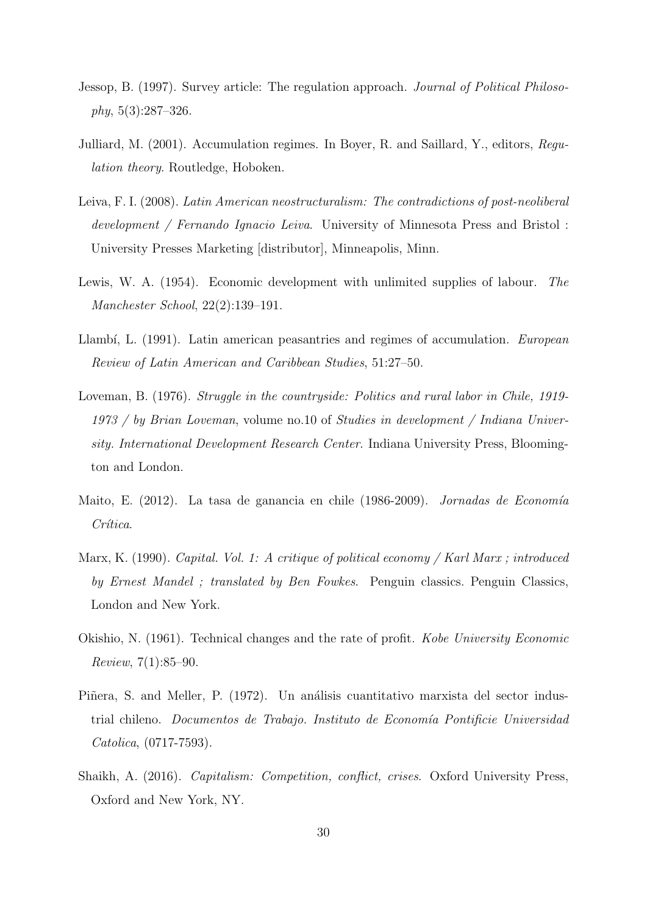- <span id="page-30-3"></span>Jessop, B. (1997). Survey article: The regulation approach. Journal of Political Philosophy, 5(3):287–326.
- <span id="page-30-4"></span>Julliard, M. (2001). Accumulation regimes. In Boyer, R. and Saillard, Y., editors, Regulation theory. Routledge, Hoboken.
- <span id="page-30-7"></span>Leiva, F. I. (2008). Latin American neostructuralism: The contradictions of post-neoliberal development / Fernando Ignacio Leiva. University of Minnesota Press and Bristol : University Presses Marketing [distributor], Minneapolis, Minn.
- <span id="page-30-10"></span>Lewis, W. A. (1954). Economic development with unlimited supplies of labour. The Manchester School, 22(2):139–191.
- <span id="page-30-5"></span>Llambí, L. (1991). Latin american peasantries and regimes of accumulation. *European* Review of Latin American and Caribbean Studies, 51:27–50.
- <span id="page-30-6"></span>Loveman, B. (1976). Struggle in the countryside: Politics and rural labor in Chile, 1919- 1973 / by Brian Loveman, volume no.10 of Studies in development / Indiana University. International Development Research Center. Indiana University Press, Bloomington and London.
- <span id="page-30-2"></span>Maito, E. (2012). La tasa de ganancia en chile (1986-2009). Jornadas de Economía Crítica.
- <span id="page-30-8"></span>Marx, K. (1990). Capital. Vol. 1: A critique of political economy / Karl Marx ; introduced by Ernest Mandel ; translated by Ben Fowkes. Penguin classics. Penguin Classics, London and New York.
- <span id="page-30-9"></span>Okishio, N. (1961). Technical changes and the rate of profit. Kobe University Economic Review, 7(1):85–90.
- <span id="page-30-1"></span>Piñera, S. and Meller, P. (1972). Un análisis cuantitativo marxista del sector industrial chileno. *Documentos de Trabajo. Instituto de Economía Pontificie Universidad* Catolica, (0717-7593).
- <span id="page-30-0"></span>Shaikh, A. (2016). Capitalism: Competition, conflict, crises. Oxford University Press, Oxford and New York, NY.